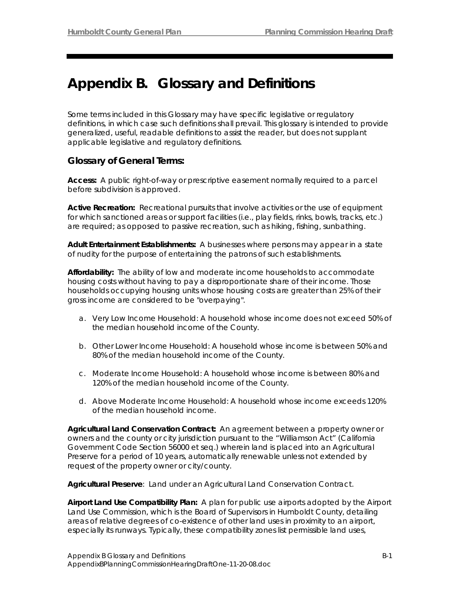# **Appendix B. Glossary and Definitions**

*Some terms included in this Glossary may have specific legislative or regulatory definitions, in which case such definitions shall prevail. This glossary is intended to provide generalized, useful, readable definitions to assist the reader, but does not supplant applicable legislative and regulatory definitions.* 

# **Glossary of General Terms:**

**Access:** A public right-of-way or prescriptive easement normally required to a parcel before subdivision is approved.

**Active Recreation:** Recreational pursuits that involve activities or the use of equipment for which sanctioned areas or support facilities (i.e., play fields, rinks, bowls, tracks, etc.) are required; as opposed to passive recreation, such as hiking, fishing, sunbathing.

**Adult Entertainment Establishments:** A businesses where persons may appear in a state of nudity for the purpose of entertaining the patrons of such establishments.

**Affordability:** The ability of low and moderate income households to accommodate housing costs without having to pay a disproportionate share of their income. Those households occupying housing units whose housing costs are greater than 25% of their gross income are considered to be "overpaying".

- a. *Very Low Income Household:* A household whose income does not exceed 50% of the median household income of the County.
- b. *Other Lower Income Household:* A household whose income is between 50% and 80% of the median household income of the County.
- c. *Moderate Income Household:* A household whose income is between 80% and 120% of the median household income of the County.
- d. *Above Moderate Income Household:* A household whose income exceeds 120% of the median household income.

**Agricultural Land Conservation Contract:** An agreement between a property owner or owners and the county or city jurisdiction pursuant to the "Williamson Act" (California Government Code Section 56000 et seq.) wherein land is placed into an Agricultural Preserve for a period of 10 years, automatically renewable unless not extended by request of the property owner or city/county.

**Agricultural Preserve**: Land under an Agricultural Land Conservation Contract.

**Airport Land Use Compatibility Plan:** A plan for public use airports adopted by the Airport Land Use Commission, which is the Board of Supervisors in Humboldt County, detailing areas of relative degrees of co-existence of other land uses in proximity to an airport, especially its runways. Typically, these compatibility zones list permissible land uses,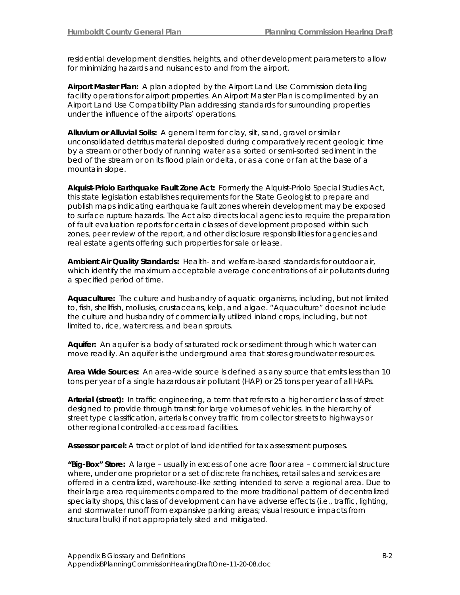residential development densities, heights, and other development parameters to allow for minimizing hazards and nuisances to and from the airport.

**Airport Master Plan:** A plan adopted by the Airport Land Use Commission detailing facility operations for airport properties. An Airport Master Plan is complimented by an Airport Land Use Compatibility Plan addressing standards for surrounding properties under the influence of the airports' operations.

**Alluvium or Alluvial Soils:** A general term for clay, silt, sand, gravel or similar unconsolidated detritus material deposited during comparatively recent geologic time by a stream or other body of running water as a sorted or semi-sorted sediment in the bed of the stream or on its flood plain or delta, or as a cone or fan at the base of a mountain slope.

**Alquist-Priolo Earthquake Fault Zone Act:** Formerly the Alquist-Priolo Special Studies Act, this state legislation establishes requirements for the State Geologist to prepare and publish maps indicating earthquake fault zones wherein development may be exposed to surface rupture hazards. The Act also directs local agencies to require the preparation of fault evaluation reports for certain classes of development proposed within such zones, peer review of the report, and other disclosure responsibilities for agencies and real estate agents offering such properties for sale or lease.

**Ambient Air Quality Standards:** Health- and welfare-based standards for outdoor air, which identify the maximum acceptable average concentrations of air pollutants during a specified period of time.

**Aquaculture:** The culture and husbandry of aquatic organisms, including, but not limited to, fish, shellfish, mollusks, crustaceans, kelp, and algae. "Aquaculture" does not include the culture and husbandry of commercially utilized inland crops, including, but not limited to, rice, watercress, and bean sprouts.

**Aquifer:** An aquifer is a body of saturated rock or sediment through which water can move readily. An aquifer is the underground area that stores groundwater resources.

**Area Wide Sources:** An area-wide source is defined as any source that emits less than 10 tons per year of a single hazardous air pollutant (HAP) or 25 tons per year of all HAPs.

**Arterial (street):** In traffic engineering, a term that refers to a higher order class of street designed to provide through transit for large volumes of vehicles. In the hierarchy of street type classification, arterials convey traffic from collector streets to highways or other regional controlled-access road facilities.

**Assessor parcel:** A tract or plot of land identified for tax assessment purposes.

**"Big-Box" Store:** A large – usually in excess of one acre floor area – commercial structure where, under one proprietor or a set of discrete franchises, retail sales and services are offered in a centralized, warehouse-like setting intended to serve a regional area. Due to their large area requirements compared to the more traditional pattern of decentralized specialty shops, this class of development can have adverse effects (i.e., traffic, lighting, and stormwater runoff from expansive parking areas; visual resource impacts from structural bulk) if not appropriately sited and mitigated.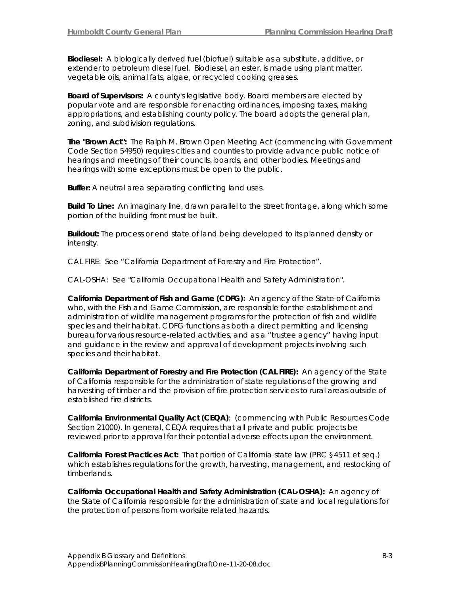**Biodiesel:** A biologically derived fuel (biofuel) suitable as a substitute, additive, or extender to petroleum diesel fuel. Biodiesel, an ester, is made using plant matter, vegetable oils, animal fats, algae, or recycled cooking greases.

**Board of Supervisors:** A county's legislative body. Board members are elected by popular vote and are responsible for enacting ordinances, imposing taxes, making appropriations, and establishing county policy. The board adopts the general plan, zoning, and subdivision regulations.

**The "Brown Act":** The Ralph M. Brown Open Meeting Act (commencing with Government Code Section 54950) requires cities and counties to provide advance public notice of hearings and meetings of their councils, boards, and other bodies. Meetings and hearings with some exceptions must be open to the public.

**Buffer:** A neutral area separating conflicting land uses.

**Build To Line:** An imaginary line, drawn parallel to the street frontage, along which some portion of the building front must be built.

**Buildout:** The process or end state of land being developed to its planned density or intensity.

CAL FIRE: See "California Department of Forestry and Fire Protection".

CAL-OSHA: See "California Occupational Health and Safety Administration".

**California Department of Fish and Game (CDFG):** An agency of the State of California who, with the Fish and Game Commission, are responsible for the establishment and administration of wildlife management programs for the protection of fish and wildlife species and their habitat. CDFG functions as both a direct permitting and licensing bureau for various resource-related activities, and as a "trustee agency" having input and guidance in the review and approval of development projects involving such species and their habitat.

**California Department of Forestry and Fire Protection (CAL FIRE):** An agency of the State of California responsible for the administration of state regulations of the growing and harvesting of timber and the provision of fire protection services to rural areas outside of established fire districts.

**California Environmental Quality Act (CEQA)**: (commencing with Public Resources Code Section 21000). In general, CEQA requires that all private and public projects be reviewed prior to approval for their potential adverse effects upon the environment.

**California Forest Practices Act:** That portion of California state law (PRC §4511 et seq.) which establishes regulations for the growth, harvesting, management, and restocking of timberlands.

**California Occupational Health and Safety Administration (CAL-OSHA):** An agency of the State of California responsible for the administration of state and local regulations for the protection of persons from worksite related hazards.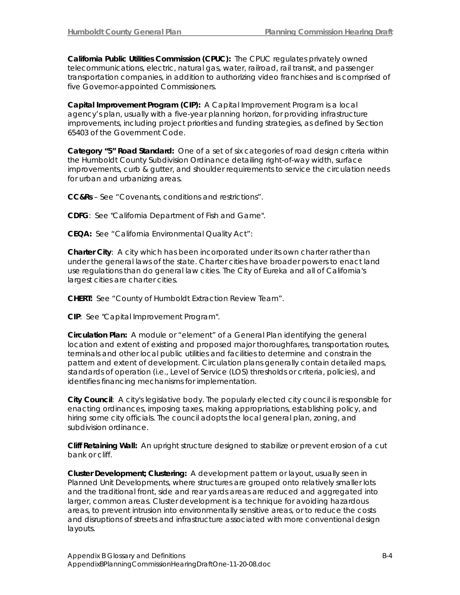**California Public Utilities Commission (CPUC):** The CPUC regulates privately owned telecommunications, electric, natural gas, water, railroad, rail transit, and passenger transportation companies, in addition to authorizing video franchises and is comprised of five Governor-appointed Commissioners.

**Capital Improvement Program (CIP):** A Capital Improvement Program is a local agency's plan, usually with a five-year planning horizon, for providing infrastructure improvements, including project priorities and funding strategies, as defined by Section 65403 of the Government Code.

**Category "5" Road Standard:** One of a set of six categories of road design criteria within the Humboldt County Subdivision Ordinance detailing right-of-way width, surface improvements, curb & gutter, and shoulder requirements to service the circulation needs for urban and urbanizing areas.

**CC&Rs** – See "Covenants, conditions and restrictions".

**CDFG**: See "California Department of Fish and Game".

**CEQA:** See "California Environmental Quality Act":

**Charter City**: A city which has been incorporated under its own charter rather than under the general laws of the state. Charter cities have broader powers to enact land use regulations than do general law cities. The City of Eureka and all of California's largest cities are charter cities.

**CHERT:** See "County of Humboldt Extraction Review Team".

**CIP**: See "Capital Improvement Program".

**Circulation Plan:** A module or "element" of a General Plan identifying the general location and extent of existing and proposed major thoroughfares, transportation routes, terminals and other local public utilities and facilities to determine and constrain the pattern and extent of development. Circulation plans generally contain detailed maps, standards of operation (i.e., Level of Service (LOS) thresholds or criteria, policies), and identifies financing mechanisms for implementation.

**City Council**: A city's legislative body. The popularly elected city council is responsible for enacting ordinances, imposing taxes, making appropriations, establishing policy, and hiring some city officials. The council adopts the local general plan, zoning, and subdivision ordinance.

**Cliff Retaining Wall:** An upright structure designed to stabilize or prevent erosion of a cut bank or cliff.

**Cluster Development; Clustering:** A development pattern or layout, usually seen in Planned Unit Developments, where structures are grouped onto relatively smaller lots and the traditional front, side and rear yards areas are reduced and aggregated into larger, common areas. Cluster development is a technique for avoiding hazardous areas, to prevent intrusion into environmentally sensitive areas, or to reduce the costs and disruptions of streets and infrastructure associated with more conventional design layouts.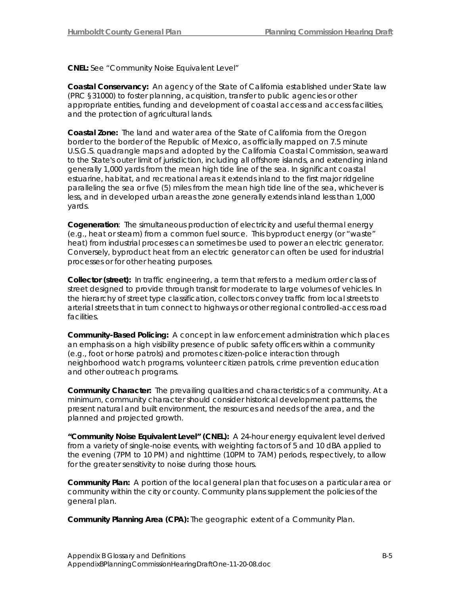**CNEL:** See "Community Noise Equivalent Level"

**Coastal Conservancy:** An agency of the State of California established under State law (PRC §31000) to foster planning, acquisition, transfer to public agencies or other appropriate entities, funding and development of coastal access and access facilities, and the protection of agricultural lands.

**Coastal Zone:** The land and water area of the State of California from the Oregon border to the border of the Republic of Mexico, as officially mapped on 7.5 minute U.S.G.S. quadrangle maps and adopted by the California Coastal Commission, seaward to the State's outer limit of jurisdiction, including all offshore islands, and extending inland generally 1,000 yards from the mean high tide line of the sea. In significant coastal estuarine, habitat, and recreational areas it extends inland to the first major ridgeline paralleling the sea or five (5) miles from the mean high tide line of the sea, whichever is less, and in developed urban areas the zone generally extends inland less than 1,000 yards.

**Cogeneration**: The simultaneous production of electricity and useful thermal energy (e.g., heat or steam) from a common fuel source. This byproduct energy (or "waste" heat) from industrial processes can sometimes be used to power an electric generator. Conversely, byproduct heat from an electric generator can often be used for industrial processes or for other heating purposes.

**Collector (street):** In traffic engineering, a term that refers to a medium order class of street designed to provide through transit for moderate to large volumes of vehicles. In the hierarchy of street type classification, collectors convey traffic from local streets to arterial streets that in turn connect to highways or other regional controlled-access road facilities.

**Community-Based Policing:** A concept in law enforcement administration which places an emphasis on a high visibility presence of public safety officers within a community (e.g., foot or horse patrols) and promotes citizen-police interaction through neighborhood watch programs, volunteer citizen patrols, crime prevention education and other outreach programs.

**Community Character:** The prevailing qualities and characteristics of a community. At a minimum, community character should consider historical development patterns, the present natural and built environment, the resources and needs of the area, and the planned and projected growth.

**"Community Noise Equivalent Level" (CNEL):** A 24-hour energy equivalent level derived from a variety of single-noise events, with weighting factors of 5 and 10 dBA applied to the evening (7PM to 10 PM) and nighttime (10PM to 7AM) periods, respectively, to allow for the greater sensitivity to noise during those hours.

**Community Plan:** A portion of the local general plan that focuses on a particular area or community within the city or county. Community plans supplement the policies of the general plan.

**Community Planning Area (CPA):** The geographic extent of a Community Plan.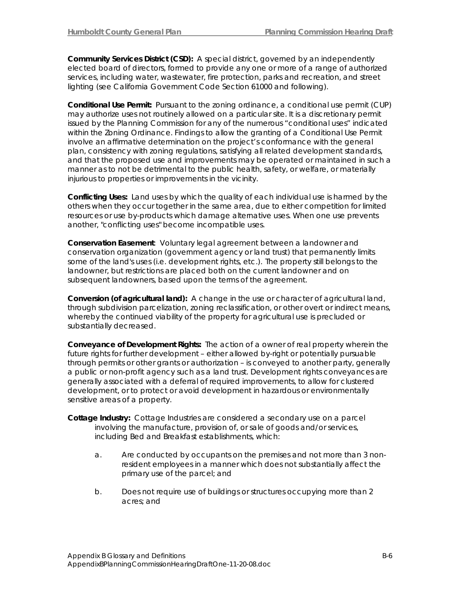**Community Services District (CSD):** A special district, governed by an independently elected board of directors, formed to provide any one or more of a range of authorized services, including water, wastewater, fire protection, parks and recreation, and street lighting (see California Government Code Section 61000 and following).

**Conditional Use Permit:** Pursuant to the zoning ordinance, a conditional use permit (CUP) may authorize uses not routinely allowed on a particular site. It is a discretionary permit issued by the Planning Commission for any of the numerous "conditional uses" indicated within the Zoning Ordinance. Findings to allow the granting of a Conditional Use Permit involve an affirmative determination on the project's conformance with the general plan, consistency with zoning regulations, satisfying all related development standards, and that the proposed use and improvements may be operated or maintained in such a manner as to not be detrimental to the public health, safety, or welfare, or materially injurious to properties or improvements in the vicinity.

**Conflicting Uses:** Land uses by which the quality of each individual use is harmed by the others when they occur together in the same area, due to either competition for limited resources or use by-products which damage alternative uses. When one use prevents another, "conflicting uses" become incompatible uses.

**Conservation Easement**: Voluntary legal agreement between a landowner and conservation organization (government agency or land trust) that permanently limits some of the land's uses (i.e. development rights, etc.). The property still belongs to the landowner, but restrictions are placed both on the current landowner and on subsequent landowners, based upon the terms of the agreement.

**Conversion (of agricultural land):** A change in the use or character of agricultural land, through subdivision parcelization, zoning reclassification, or other overt or indirect means, whereby the continued viability of the property for agricultural use is precluded or substantially decreased.

**Conveyance of Development Rights:** The action of a owner of real property wherein the future rights for further development – either allowed by-right or potentially pursuable through permits or other grants or authorization – is conveyed to another party, generally a public or non-profit agency such as a land trust. Development rights conveyances are generally associated with a deferral of required improvements, to allow for clustered development, or to protect or avoid development in hazardous or environmentally sensitive areas of a property.

- **Cottage Industry:** Cottage Industries are considered a secondary use on a parcel involving the manufacture, provision of, or sale of goods and/or services, including Bed and Breakfast establishments, which:
	- a. Are conducted by occupants on the premises and not more than 3 nonresident employees in a manner which does not substantially affect the primary use of the parcel; and
	- b. Does not require use of buildings or structures occupying more than 2 acres; and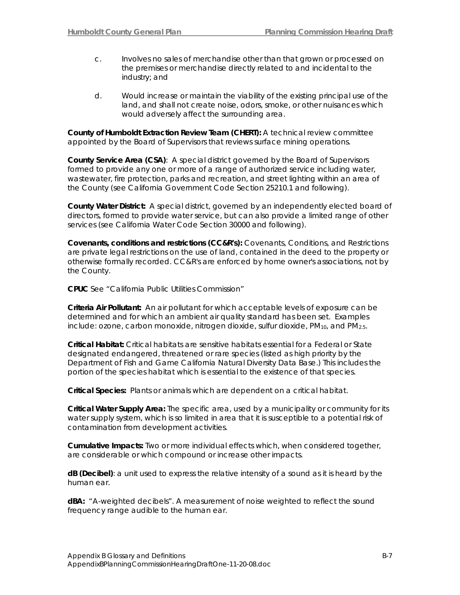- c. Involves no sales of merchandise other than that grown or processed on the premises or merchandise directly related to and incidental to the industry; and
- d. Would increase or maintain the viability of the existing principal use of the land, and shall not create noise, odors, smoke, or other nuisances which would adversely affect the surrounding area.

**County of Humboldt Extraction Review Team (CHERT):** A technical review committee appointed by the Board of Supervisors that reviews surface mining operations.

**County Service Area (CSA)**: A special district governed by the Board of Supervisors formed to provide any one or more of a range of authorized service including water, wastewater, fire protection, parks and recreation, and street lighting within an area of the County (see California Government Code Section 25210.1 and following).

**County Water District:** A special district, governed by an independently elected board of directors, formed to provide water service, but can also provide a limited range of other services (see California Water Code Section 30000 and following).

**Covenants, conditions and restrictions (CC&R's):** Covenants, Conditions, and Restrictions are private legal restrictions on the use of land, contained in the deed to the property or otherwise formally recorded. CC&R's are enforced by home owner's associations, not by the County.

**CPUC** See "California Public Utilities Commission"

**Criteria Air Pollutant:** An air pollutant for which acceptable levels of exposure can be determined and for which an ambient air quality standard has been set. Examples include: ozone, carbon monoxide, nitrogen dioxide, sulfur dioxide,  $PM_{10}$ , and  $PM_{2.5}$ .

**Critical Habitat:** Critical habitats are sensitive habitats essential for a Federal or State designated endangered, threatened or rare species (listed as high priority by the Department of Fish and Game California Natural Diversity Data Base.) This includes the portion of the species habitat which is essential to the existence of that species.

**Critical Species:** Plants or animals which are dependent on a critical habitat.

**Critical Water Supply Area:** The specific area, used by a municipality or community for its water supply system, which is so limited in area that it is susceptible to a potential risk of contamination from development activities.

**Cumulative Impacts:** Two or more individual effects which, when considered together, are considerable or which compound or increase other impacts.

**dB (Decibel)**: a unit used to express the relative intensity of a sound as it is heard by the human ear.

**dBA:** "A-weighted decibels". A measurement of noise weighted to reflect the sound frequency range audible to the human ear.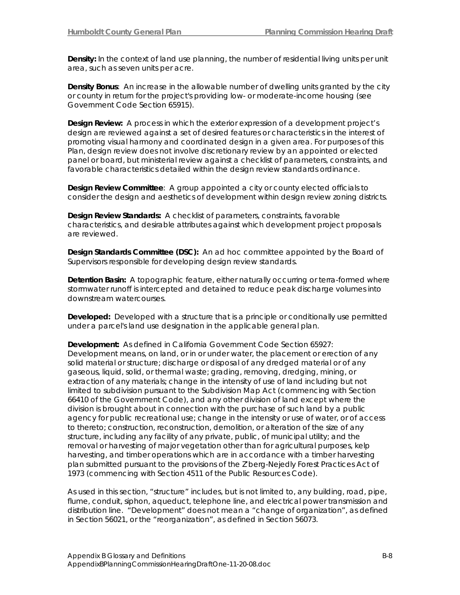**Density:** In the context of land use planning, the number of residential living units per unit area, such as seven units per acre.

**Density Bonus**: An increase in the allowable number of dwelling units granted by the city or county in return for the project's providing low- or moderate-income housing (see Government Code Section 65915).

**Design Review:** A process in which the exterior expression of a development project's design are reviewed against a set of desired features or characteristics in the interest of promoting visual harmony and coordinated design in a given area. For purposes of this Plan, design review does not involve discretionary review by an appointed or elected panel or board, but ministerial review against a checklist of parameters, constraints, and favorable characteristics detailed within the design review standards ordinance.

**Design Review Committee**: A group appointed a city or county elected officials to consider the design and aesthetics of development within design review zoning districts.

**Design Review Standards:** A checklist of parameters, constraints, favorable characteristics, and desirable attributes against which development project proposals are reviewed.

**Design Standards Committee (DSC):** An ad hoc committee appointed by the Board of Supervisors responsible for developing design review standards.

**Detention Basin:** A topographic feature, either naturally occurring or terra-formed where stormwater runoff is intercepted and detained to reduce peak discharge volumes into downstream watercourses.

**Developed:** Developed with a structure that is a principle or conditionally use permitted under a parcel's land use designation in the applicable general plan.

**Development:** As defined in California Government Code Section 65927: Development means, on land, or in or under water, the placement or erection of any solid material or structure; discharge or disposal of any dredged material or of any gaseous, liquid, solid, or thermal waste; grading, removing, dredging, mining, or extraction of any materials; change in the intensity of use of land including but not limited to subdivision pursuant to the Subdivision Map Act (commencing with Section 66410 of the Government Code), and any other division of land except where the division is brought about in connection with the purchase of such land by a public agency for public recreational use; change in the intensity or use of water, or of access to thereto; construction, reconstruction, demolition, or alteration of the size of any structure, including any facility of any private, public, of municipal utility; and the removal or harvesting of major vegetation other than for agricultural purposes, kelp harvesting, and timber operations which are in accordance with a timber harvesting plan submitted pursuant to the provisions of the Z'berg-Nejedly Forest Practices Act of 1973 (commencing with Section 4511 of the Public Resources Code).

As used in this section, "structure" includes, but is not limited to, any building, road, pipe, flume, conduit, siphon, aqueduct, telephone line, and electrical power transmission and distribution line. "Development" does not mean a "change of organization", as defined in Section 56021, or the "reorganization", as defined in Section 56073.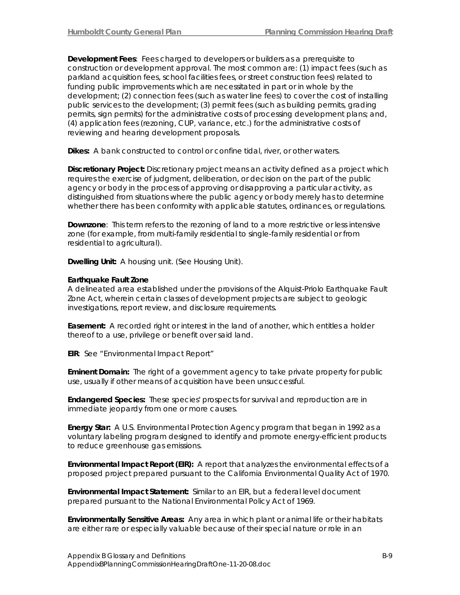**Development Fees**: Fees charged to developers or builders as a prerequisite to construction or development approval. The most common are: (1) impact fees (such as parkland acquisition fees, school facilities fees, or street construction fees) related to funding public improvements which are necessitated in part or in whole by the development; (2) connection fees (such as water line fees) to cover the cost of installing public services to the development; (3) permit fees (such as building permits, grading permits, sign permits) for the administrative costs of processing development plans; and, (4) application fees (rezoning, CUP, variance, etc.) for the administrative costs of reviewing and hearing development proposals.

**Dikes:** A bank constructed to control or confine tidal, river, or other waters.

**Discretionary Project:** Discretionary project means an activity defined as a project which requires the exercise of judgment, deliberation, or decision on the part of the public agency or body in the process of approving or disapproving a particular activity, as distinguished from situations where the public agency or body merely has to determine whether there has been conformity with applicable statutes, ordinances, or regulations.

**Downzone**: This term refers to the rezoning of land to a more restrictive or less intensive zone (for example, from multi-family residential to single-family residential or from residential to agricultural).

**Dwelling Unit:** A housing unit. (See Housing Unit).

#### **Earthquake Fault Zone**

A delineated area established under the provisions of the Alquist-Priolo Earthquake Fault Zone Act, wherein certain classes of development projects are subject to geologic investigations, report review, and disclosure requirements.

**Easement:** A recorded right or interest in the land of another, which entitles a holder thereof to a use, privilege or benefit over said land.

**EIR**: See "Environmental Impact Report"

**Eminent Domain:** The right of a government agency to take private property for public use, usually if other means of acquisition have been unsuccessful.

**Endangered Species:** These species' prospects for survival and reproduction are in immediate jeopardy from one or more causes.

**Energy Star:** A U.S. Environmental Protection Agency program that began in 1992 as a voluntary labeling program designed to identify and promote energy-efficient products to reduce greenhouse gas emissions.

**Environmental Impact Report (EIR):** A report that analyzes the environmental effects of a proposed project prepared pursuant to the California Environmental Quality Act of 1970.

**Environmental Impact Statement:** Similar to an EIR, but a federal level document prepared pursuant to the National Environmental Policy Act of 1969.

**Environmentally Sensitive Areas:** Any area in which plant or animal life or their habitats are either rare or especially valuable because of their special nature or role in an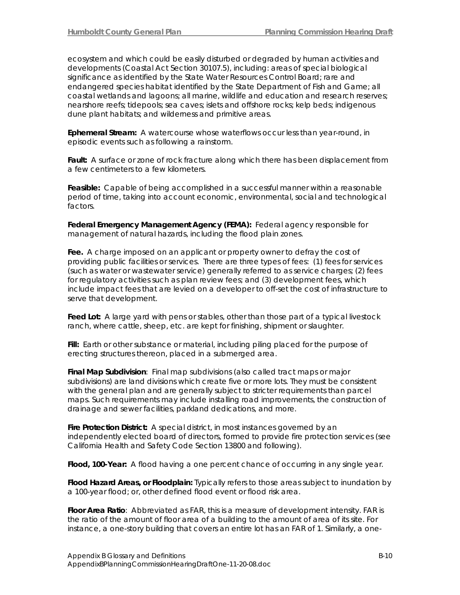ecosystem and which could be easily disturbed or degraded by human activities and developments (Coastal Act Section 30107.5), including: areas of special biological significance as identified by the State Water Resources Control Board; rare and endangered species habitat identified by the State Department of Fish and Game; all coastal wetlands and lagoons; all marine, wildlife and education and research reserves; nearshore reefs; tidepools; sea caves; islets and offshore rocks; kelp beds; indigenous dune plant habitats; and wilderness and primitive areas.

**Ephemeral Stream:** A watercourse whose waterflows occur less than year-round, in episodic events such as following a rainstorm.

**Fault:** A surface or zone of rock fracture along which there has been displacement from a few centimeters to a few kilometers.

**Feasible:** Capable of being accomplished in a successful manner within a reasonable period of time, taking into account economic, environmental, social and technological factors.

**Federal Emergency Management Agency (FEMA):** Federal agency responsible for management of natural hazards, including the flood plain zones.

**Fee.** A charge imposed on an applicant or property owner to defray the cost of providing public facilities or services. There are three types of fees: (1) fees for services (such as water or wastewater service) generally referred to as service charges; (2) fees for regulatory activities such as plan review fees; and (3) development fees, which include impact fees that are levied on a developer to off-set the cost of infrastructure to serve that development.

**Feed Lot:** A large yard with pens or stables, other than those part of a typical livestock ranch, where cattle, sheep, etc. are kept for finishing, shipment or slaughter.

**Fill:** Earth or other substance or material, including piling placed for the purpose of erecting structures thereon, placed in a submerged area.

**Final Map Subdivision**: Final map subdivisions (also called tract maps or major subdivisions) are land divisions which create five or more lots. They must be consistent with the general plan and are generally subject to stricter requirements than parcel maps. Such requirements may include installing road improvements, the construction of drainage and sewer facilities, parkland dedications, and more.

**Fire Protection District:** A special district, in most instances governed by an independently elected board of directors, formed to provide fire protection services (see California Health and Safety Code Section 13800 and following).

**Flood, 100-Year:** A flood having a one percent chance of occurring in any single year.

**Flood Hazard Areas, or Floodplain:** Typically refers to those areas subject to inundation by a 100-year flood; or, other defined flood event or flood risk area.

**Floor Area Ratio**: Abbreviated as FAR, this is a measure of development intensity. FAR is the ratio of the amount of floor area of a building to the amount of area of its site. For instance, a one-story building that covers an entire lot has an FAR of 1. Similarly, a one-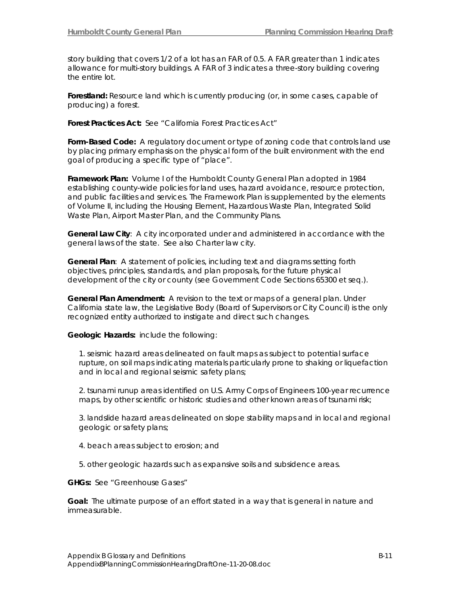story building that covers 1/2 of a lot has an FAR of 0.5. A FAR greater than 1 indicates allowance for multi-story buildings. A FAR of 3 indicates a three-story building covering the entire lot.

**Forestland:** Resource land which is currently producing (or, in some cases, capable of producing) a forest.

**Forest Practices Act:** See "California Forest Practices Act"

**Form-Based Code:** A regulatory document or type of zoning code that controls land use by placing primary emphasis on the physical form of the built environment with the end goal of producing a specific type of "place".

**Framework Plan:** Volume I of the Humboldt County General Plan adopted in 1984 establishing county-wide policies for land uses, hazard avoidance, resource protection, and public facilities and services. The Framework Plan is supplemented by the elements of Volume II, including the Housing Element, Hazardous Waste Plan, Integrated Solid Waste Plan, Airport Master Plan, and the Community Plans.

**General Law City**: A city incorporated under and administered in accordance with the general laws of the state. See also Charter law city.

**General Plan**: A statement of policies, including text and diagrams setting forth objectives, principles, standards, and plan proposals, for the future physical development of the city or county (see Government Code Sections 65300 et seq.).

**General Plan Amendment:** A revision to the text or maps of a general plan. Under California state law, the Legislative Body (Board of Supervisors or City Council) is the only recognized entity authorized to instigate and direct such changes.

**Geologic Hazards:** include the following:

1. seismic hazard areas delineated on fault maps as subject to potential surface rupture, on soil maps indicating materials particularly prone to shaking or liquefaction and in local and regional seismic safety plans;

2. tsunami runup areas identified on U.S. Army Corps of Engineers 100-year recurrence maps, by other scientific or historic studies and other known areas of tsunami risk;

3. landslide hazard areas delineated on slope stability maps and in local and regional geologic or safety plans;

4. beach areas subject to erosion; and

5. other geologic hazards such as expansive soils and subsidence areas.

**GHGs:** See "Greenhouse Gases"

**Goal:** The ultimate purpose of an effort stated in a way that is general in nature and immeasurable.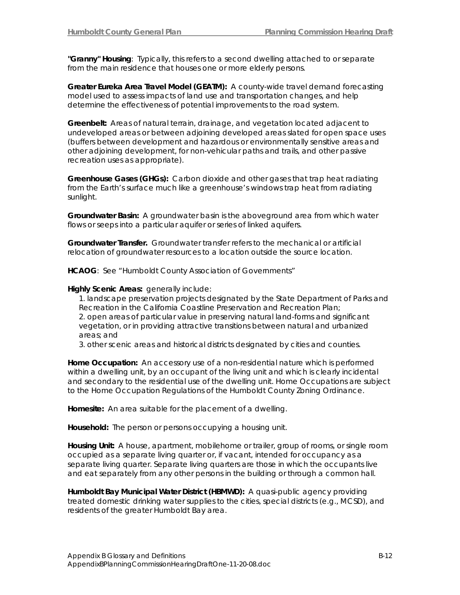**"Granny" Housing**: Typically, this refers to a second dwelling attached to or separate from the main residence that houses one or more elderly persons.

**Greater Eureka Area Travel Model (GEATM):** A county-wide travel demand forecasting model used to assess impacts of land use and transportation changes, and help determine the effectiveness of potential improvements to the road system.

**Greenbelt:** Areas of natural terrain, drainage, and vegetation located adjacent to undeveloped areas or between adjoining developed areas slated for open space uses (buffers between development and hazardous or environmentally sensitive areas and other adjoining development, for non-vehicular paths and trails, and other passive recreation uses as appropriate).

**Greenhouse Gases (GHGs):** Carbon dioxide and other gases that trap heat radiating from the Earth's surface much like a greenhouse's windows trap heat from radiating sunlight.

**Groundwater Basin:** A groundwater basin is the aboveground area from which water flows or seeps into a particular aquifer or series of linked aquifers.

**Groundwater Transfer.** Groundwater transfer refers to the mechanical or artificial relocation of groundwater resources to a location outside the source location.

**HCAOG**: See "Humboldt County Association of Governments"

#### **Highly Scenic Areas:** generally include:

1. landscape preservation projects designated by the State Department of Parks and Recreation in the California Coastline Preservation and Recreation Plan; 2. open areas of particular value in preserving natural land-forms and significant vegetation, or in providing attractive transitions between natural and urbanized areas; and

3. other scenic areas and historical districts designated by cities and counties.

**Home Occupation:** An accessory use of a non-residential nature which is performed within a dwelling unit, by an occupant of the living unit and which is clearly incidental and secondary to the residential use of the dwelling unit. Home Occupations are subject to the Home Occupation Regulations of the Humboldt County Zoning Ordinance.

**Homesite:** An area suitable for the placement of a dwelling.

**Household:** The person or persons occupying a housing unit.

**Housing Unit:** A house, apartment, mobilehome or trailer, group of rooms, or single room occupied as a separate living quarter or, if vacant, intended for occupancy as a separate living quarter. Separate living quarters are those in which the occupants live and eat separately from any other persons in the building or through a common hall.

**Humboldt Bay Municipal Water District (HBMWD):** A quasi-public agency providing treated domestic drinking water supplies to the cities, special districts (e.g., MCSD), and residents of the greater Humboldt Bay area.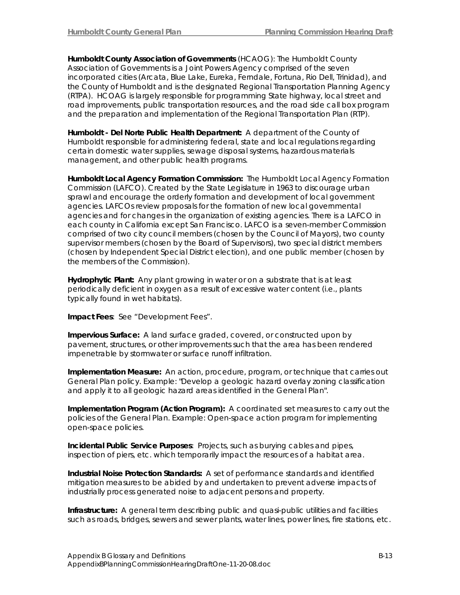**Humboldt County Association of Governments** (HCAOG): The Humboldt County Association of Governments is a Joint Powers Agency comprised of the seven incorporated cities (Arcata, Blue Lake, Eureka, Ferndale, Fortuna, Rio Dell, Trinidad), and the County of Humboldt and is the designated Regional Transportation Planning Agency (RTPA). HCOAG is largely responsible for programming State highway, local street and road improvements, public transportation resources, and the road side call box program and the preparation and implementation of the Regional Transportation Plan (RTP).

**Humboldt - Del Norte Public Health Department:** A department of the County of Humboldt responsible for administering federal, state and local regulations regarding certain domestic water supplies, sewage disposal systems, hazardous materials management, and other public health programs.

**Humboldt Local Agency Formation Commission:** The Humboldt Local Agency Formation Commission (LAFCO). Created by the State Legislature in 1963 to discourage urban sprawl and encourage the orderly formation and development of local government agencies. LAFCOs review proposals for the formation of new local governmental agencies and for changes in the organization of existing agencies. There is a LAFCO in each county in California except San Francisco. LAFCO is a seven-member Commission comprised of two city council members (chosen by the Council of Mayors), two county supervisor members (chosen by the Board of Supervisors), two special district members (chosen by Independent Special District election), and one public member (chosen by the members of the Commission).

**Hydrophytic Plant:** Any plant growing in water or on a substrate that is at least periodically deficient in oxygen as a result of excessive water content (i.e., plants typically found in wet habitats).

**Impact Fees**: *See "Development Fees".*

**Impervious Surface:** A land surface graded, covered, or constructed upon by pavement, structures, or other improvements such that the area has been rendered impenetrable by stormwater or surface runoff infiltration.

**Implementation Measure:** An action, procedure, program, or technique that carries out General Plan policy. Example: "Develop a geologic hazard overlay zoning classification and apply it to all geologic hazard areas identified in the General Plan".

**Implementation Program (Action Program):** A coordinated set measures to carry out the policies of the General Plan. Example: Open-space action program for implementing open-space policies.

**Incidental Public Service Purposes**: Projects, such as burying cables and pipes, inspection of piers, etc. which temporarily impact the resources of a habitat area.

**Industrial Noise Protection Standards:** A set of performance standards and identified mitigation measures to be abided by and undertaken to prevent adverse impacts of industrially process generated noise to adjacent persons and property.

**Infrastructure:** A general term describing public and quasi-public utilities and facilities such as roads, bridges, sewers and sewer plants, water lines, power lines, fire stations, etc.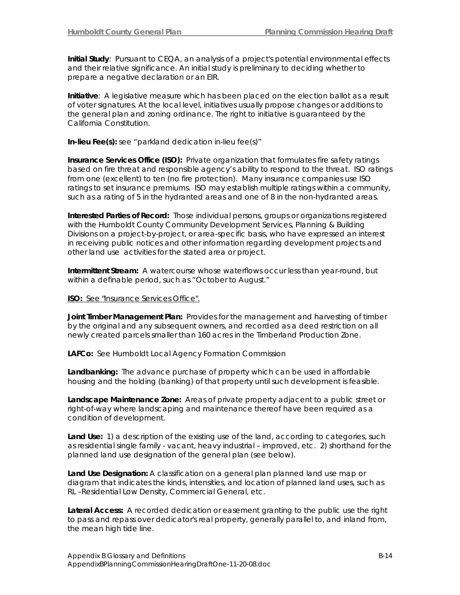**Initial Study**: Pursuant to CEQA, an analysis of a project's potential environmental effects and their relative significance. An initial study is preliminary to deciding whether to prepare a negative declaration or an EIR.

**Initiative**: A legislative measure which has been placed on the election ballot as a result of voter signatures. At the local level, initiatives usually propose changes or additions to the general plan and zoning ordinance. The right to initiative is guaranteed by the California Constitution.

**In-lieu Fee(s):** see "parkland dedication in-lieu fee(s)"

**Insurance Services Office (ISO):** Private organization that formulates fire safety ratings based on fire threat and responsible agency's ability to respond to the threat. ISO ratings from one (excellent) to ten (no fire protection). Many insurance companies use ISO ratings to set insurance premiums. ISO may establish multiple ratings within a community, such as a rating of 5 in the hydranted areas and one of 8 in the non-hydranted areas.

**Interested Parties of Record:** Those individual persons, groups or organizations registered with the Humboldt County Community Development Services, Planning & Building Divisions on a project-by-project, or area-specific basis, who have expressed an interest in receiving public notices and other information regarding development projects and other land use activities for the stated area or project.

**Intermittent Stream:** A watercourse whose waterflows occur less than year-round, but within a definable period, such as "October to August."

**ISO:** See "Insurance Services Office".

**Joint Timber Management Plan:** Provides for the management and harvesting of timber by the original and any subsequent owners, and recorded as a deed restriction on all newly created parcels smaller than 160 acres in the Timberland Production Zone.

**LAFCo:** See Humboldt Local Agency Formation Commission

**Landbanking:** The advance purchase of property which can be used in affordable housing and the holding (banking) of that property until such development is feasible.

**Landscape Maintenance Zone:** Areas of private property adjacent to a public street or right-of-way where landscaping and maintenance thereof have been required as a condition of development.

**Land Use:** 1) a description of the existing use of the land, according to categories, such as residential single family - vacant, heavy industrial – improved, etc. 2) shorthand for the planned land use designation of the general plan (see below).

**Land Use Designation:** A classification on a general plan planned land use map or diagram that indicates the kinds, intensities, and location of planned land uses, such as RL –Residential Low Density, Commercial General, etc.

**Lateral Access:** A recorded dedication or easement granting to the public use the right to pass and repass over dedicator's real property, generally parallel to, and inland from, the mean high tide line.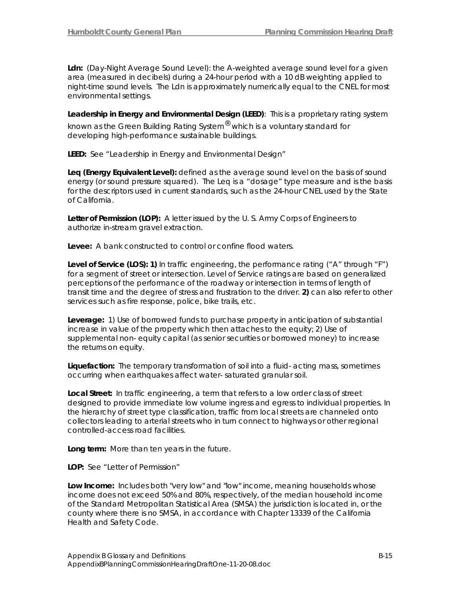**Ldn:** (Day-Night Average Sound Level): the A-weighted average sound level for a given area (measured in decibels) during a 24-hour period with a 10 dB weighting applied to night-time sound levels. The Ldn is approximately numerically equal to the CNEL for most environmental settings.

**Leadership in Energy and Environmental Design (LEED)**: This is a proprietary rating system

known as the Green Building Rating System® which is a voluntary standard for developing high-performance sustainable buildings.

**LEED:** See "Leadership in Energy and Environmental Design"

**Leq (Energy Equivalent Level):** defined as the average sound level on the basis of sound energy (or sound pressure squared). The Leq is a "dosage" type measure and is the basis for the descriptors used in current standards, such as the 24-hour CNEL used by the State of California.

**Letter of Permission (LOP):** A letter issued by the U. S. Army Corps of Engineers to authorize in-stream gravel extraction.

**Levee:** A bank constructed to control or confine flood waters.

Level of Service (LOS): 1) In traffic engineering, the performance rating ("A" through "F") for a segment of street or intersection. Level of Service ratings are based on generalized perceptions of the performance of the roadway or intersection in terms of length of transit time and the degree of stress and frustration to the driver. **2)** can also refer to other services such as fire response, police, bike trails, etc.

**Leverage:** 1) Use of borrowed funds to purchase property in anticipation of substantial increase in value of the property which then attaches to the equity; 2) Use of supplemental non- equity capital (as senior securities or borrowed money) to increase the returns on equity.

**Liquefaction:** The temporary transformation of soil into a fluid- acting mass, sometimes occurring when earthquakes affect water- saturated granular soil.

**Local Street:** In traffic engineering, a term that refers to a low order class of street designed to provide immediate low volume ingress and egress to individual properties. In the hierarchy of street type classification, traffic from local streets are channeled onto collectors leading to arterial streets who in turn connect to highways or other regional controlled-access road facilities.

**Long term:** More than ten years in the future.

LOP: See "Letter of Permission"

**Low Income:** Includes both "very low" and "low" income, meaning households whose income does not exceed 50% and 80%, respectively, of the median household income of the Standard Metropolitan Statistical Area (SMSA) the jurisdiction is located in, or the county where there is no SMSA, in accordance with Chapter 13339 of the California Health and Safety Code.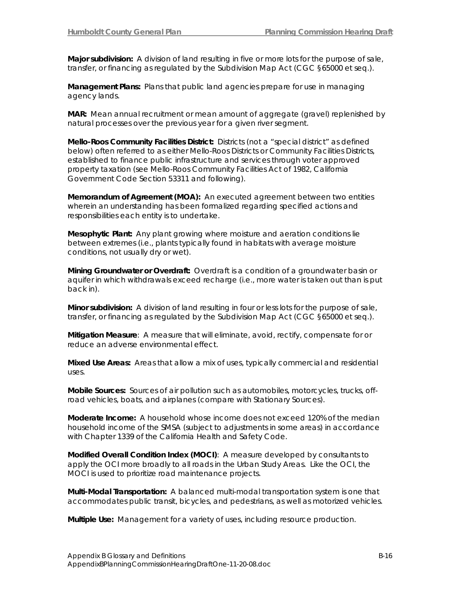**Major subdivision:** A division of land resulting in five or more lots for the purpose of sale, transfer, or financing as regulated by the Subdivision Map Act (CGC §65000 et seq.).

**Management Plans:** Plans that public land agencies prepare for use in managing agency lands.

**MAR:** Mean annual recruitment or mean amount of aggregate (gravel) replenished by natural processes over the previous year for a given river segment.

**Mello-Roos Community Facilities District:** Districts (not a "special district" as defined below) often referred to as either Mello-Roos Districts or Community Facilities Districts, established to finance public infrastructure and services through voter approved property taxation (see Mello-Roos Community Facilities Act of 1982, California Government Code Section 53311 and following).

**Memorandum of Agreement (MOA):** An executed agreement between two entities wherein an understanding has been formalized regarding specified actions and responsibilities each entity is to undertake.

**Mesophytic Plant:** Any plant growing where moisture and aeration conditions lie between extremes (i.e., plants typically found in habitats with average moisture conditions, not usually dry or wet).

**Mining Groundwater or Overdraft:** Overdraft is a condition of a groundwater basin or aquifer in which withdrawals exceed recharge (i.e., more water is taken out than is put back in).

**Minor subdivision:** A division of land resulting in four or less lots for the purpose of sale, transfer, or financing as regulated by the Subdivision Map Act (CGC §65000 et seq.).

**Mitigation Measure**: A measure that will eliminate, avoid, rectify, compensate for or reduce an adverse environmental effect.

**Mixed Use Areas:** Areas that allow a mix of uses, typically commercial and residential uses.

**Mobile Sources:** Sources of air pollution such as automobiles, motorcycles, trucks, offroad vehicles, boats, and airplanes (compare with Stationary Sources).

**Moderate Income:** A household whose income does not exceed 120% of the median household income of the SMSA (subject to adjustments in some areas) in accordance with Chapter 1339 of the California Health and Safety Code.

**Modified Overall Condition Index (MOCI)**: A measure developed by consultants to apply the OCI more broadly to all roads in the Urban Study Areas. Like the OCI, the MOCI is used to prioritize road maintenance projects.

**Multi-Modal Transportation:** A balanced multi-modal transportation system is one that accommodates public transit, bicycles, and pedestrians, as well as motorized vehicles.

**Multiple Use:** Management for a variety of uses, including resource production.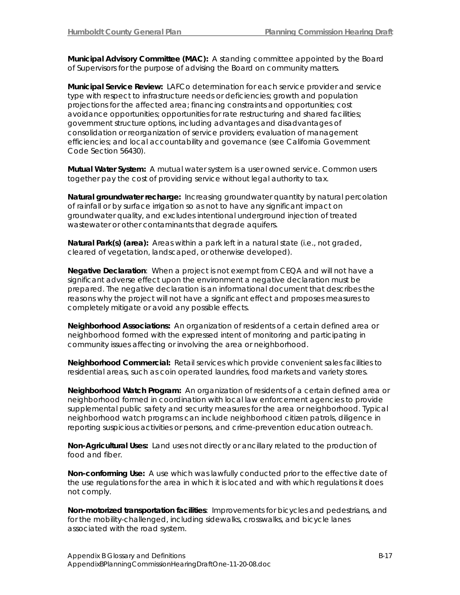**Municipal Advisory Committee (MAC):** A standing committee appointed by the Board of Supervisors for the purpose of advising the Board on community matters.

**Municipal Service Review:** LAFCo determination for each service provider and service type with respect to infrastructure needs or deficiencies; growth and population projections for the affected area; financing constraints and opportunities; cost avoidance opportunities; opportunities for rate restructuring and shared facilities; government structure options, including advantages and disadvantages of consolidation or reorganization of service providers; evaluation of management efficiencies; and local accountability and governance (see California Government Code Section 56430).

**Mutual Water System:** A mutual water system is a user owned service. Common users together pay the cost of providing service without legal authority to tax.

**Natural groundwater recharge:** Increasing groundwater quantity by natural percolation of rainfall or by surface irrigation so as not to have any significant impact on groundwater quality, and excludes intentional underground injection of treated wastewater or other contaminants that degrade aquifers.

**Natural Park(s) (area):** Areas within a park left in a natural state (i.e., not graded, cleared of vegetation, landscaped, or otherwise developed).

**Negative Declaration**: When a project is not exempt from CEQA and will not have a significant adverse effect upon the environment a negative declaration must be prepared. The negative declaration is an informational document that describes the reasons why the project will not have a significant effect and proposes measures to completely mitigate or avoid any possible effects.

**Neighborhood Associations:** An organization of residents of a certain defined area or neighborhood formed with the expressed intent of monitoring and participating in community issues affecting or involving the area or neighborhood.

**Neighborhood Commercial:** Retail services which provide convenient sales facilities to residential areas, such as coin operated laundries, food markets and variety stores.

**Neighborhood Watch Program:** An organization of residents of a certain defined area or neighborhood formed in coordination with local law enforcement agencies to provide supplemental public safety and security measures for the area or neighborhood. Typical neighborhood watch programs can include neighborhood citizen patrols, diligence in reporting suspicious activities or persons, and crime-prevention education outreach.

**Non-Agricultural Uses:** Land uses not directly or ancillary related to the production of food and fiber.

**Non-conforming Use:** A use which was lawfully conducted prior to the effective date of the use regulations for the area in which it is located and with which regulations it does not comply.

**Non-motorized transportation facilities**: Improvements for bicycles and pedestrians, and for the mobility-challenged, including sidewalks, crosswalks, and bicycle lanes associated with the road system.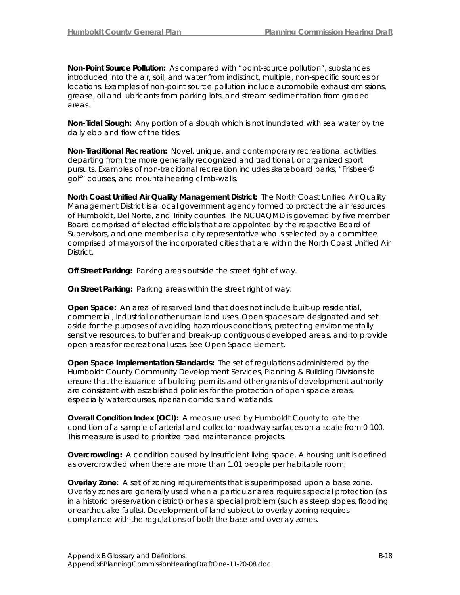**Non-Point Source Pollution:** As compared with "point-source pollution", substances introduced into the air, soil, and water from indistinct, multiple, non-specific sources or locations. Examples of non-point source pollution include automobile exhaust emissions, grease, oil and lubricants from parking lots, and stream sedimentation from graded areas.

**Non-Tidal Slough:** Any portion of a slough which is not inundated with sea water by the daily ebb and flow of the tides.

**Non-Traditional Recreation:** Novel, unique, and contemporary recreational activities departing from the more generally recognized and traditional, or organized sport pursuits. Examples of non-traditional recreation includes skateboard parks, "Frisbee® golf" courses, and mountaineering climb-walls.

**North Coast Unified Air Quality Management District:** The North Coast Unified Air Quality Management District is a local government agency formed to protect the air resources of Humboldt, Del Norte, and Trinity counties. The NCUAQMD is governed by five member Board comprised of elected officials that are appointed by the respective Board of Supervisors, and one member is a city representative who is selected by a committee comprised of mayors of the incorporated cities that are within the North Coast Unified Air District.

**Off Street Parking:** Parking areas outside the street right of way.

**On Street Parking:** Parking areas within the street right of way.

**Open Space:** An area of reserved land that does not include built-up residential, commercial, industrial or other urban land uses. Open spaces are designated and set aside for the purposes of avoiding hazardous conditions, protecting environmentally sensitive resources, to buffer and break-up contiguous developed areas, and to provide open areas for recreational uses. See Open Space Element.

**Open Space Implementation Standards:** The set of regulations administered by the Humboldt County Community Development Services, Planning & Building Divisions to ensure that the issuance of building permits and other grants of development authority are consistent with established policies for the protection of open space areas, especially watercourses, riparian corridors and wetlands.

**Overall Condition Index (OCI):** A measure used by Humboldt County to rate the condition of a sample of arterial and collector roadway surfaces on a scale from 0-100. This measure is used to prioritize road maintenance projects.

**Overcrowding:** A condition caused by insufficient living space. A housing unit is defined as overcrowded when there are more than 1.01 people per habitable room.

**Overlay Zone**: A set of zoning requirements that is superimposed upon a base zone. Overlay zones are generally used when a particular area requires special protection (as in a historic preservation district) or has a special problem (such as steep slopes, flooding or earthquake faults). Development of land subject to overlay zoning requires compliance with the regulations of both the base and overlay zones.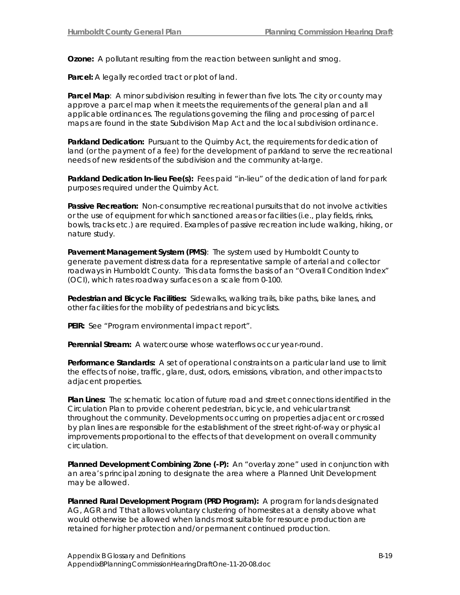**Ozone:** A pollutant resulting from the reaction between sunlight and smog.

**Parcel:** A legally recorded tract or plot of land.

**Parcel Map**: A minor subdivision resulting in fewer than five lots. The city or county may approve a parcel map when it meets the requirements of the general plan and all applicable ordinances. The regulations governing the filing and processing of parcel maps are found in the state Subdivision Map Act and the local subdivision ordinance.

**Parkland Dedication:** Pursuant to the Quimby Act, the requirements for dedication of land (or the payment of a fee) for the development of parkland to serve the recreational needs of new residents of the subdivision and the community at-large.

**Parkland Dedication In-lieu Fee(s):** Fees paid "in-lieu" of the dedication of land for park purposes required under the Quimby Act.

**Passive Recreation:** Non-consumptive recreational pursuits that do not involve activities or the use of equipment for which sanctioned areas or facilities (i.e., play fields, rinks, bowls, tracks etc.) are required. Examples of passive recreation include walking, hiking, or nature study.

**Pavement Management System (PMS)**: The system used by Humboldt County to generate pavement distress data for a representative sample of arterial and collector roadways in Humboldt County. This data forms the basis of an "Overall Condition Index" (OCI), which rates roadway surfaces on a scale from 0-100.

**Pedestrian and Bicycle Facilities:** Sidewalks, walking trails, bike paths, bike lanes, and other facilities for the mobility of pedestrians and bicyclists.

PEIR: See "Program environmental impact report".

Perennial Stream: A watercourse whose waterflows occur year-round.

**Performance Standards:** A set of operational constraints on a particular land use to limit the effects of noise, traffic, glare, dust, odors, emissions, vibration, and other impacts to adjacent properties.

**Plan Lines:** The schematic location of future road and street connections identified in the Circulation Plan to provide coherent pedestrian, bicycle, and vehicular transit throughout the community. Developments occurring on properties adjacent or crossed by plan lines are responsible for the establishment of the street right-of-way or physical improvements proportional to the effects of that development on overall community circulation.

**Planned Development Combining Zone (-P):** An "overlay zone" used in conjunction with an area's principal zoning to designate the area where a Planned Unit Development may be allowed.

**Planned Rural Development Program (PRD Program):** A program for lands designated AG, AGR and T that allows voluntary clustering of homesites at a density above what would otherwise be allowed when lands most suitable for resource production are retained for higher protection and/or permanent continued production.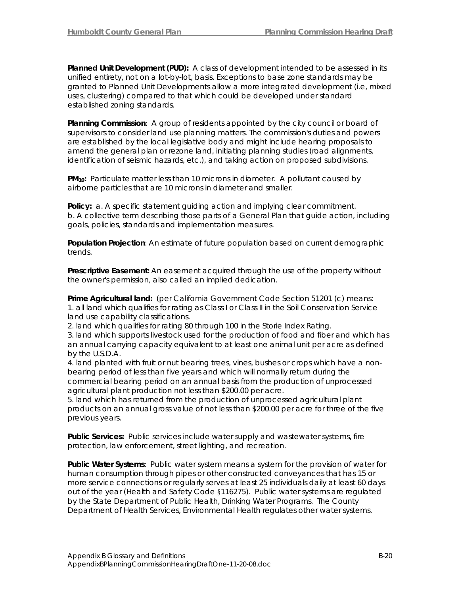**Planned Unit Development (PUD):** A class of development intended to be assessed in its unified entirety, not on a lot-by-lot, basis. Exceptions to base zone standards may be granted to Planned Unit Developments allow a more integrated development (i.e, mixed uses, clustering) compared to that which could be developed under standard established zoning standards.

**Planning Commission**: A group of residents appointed by the city council or board of supervisors to consider land use planning matters. The commission's duties and powers are established by the local legislative body and might include hearing proposals to amend the general plan or rezone land, initiating planning studies (road alignments, identification of seismic hazards, etc.), and taking action on proposed subdivisions.

**PM10:** Particulate matter less than 10 microns in diameter. A pollutant caused by airborne particles that are 10 microns in diameter and smaller.

**Policy:** a. A specific statement quiding action and implying clear commitment. b. A collective term describing those parts of a General Plan that guide action, including goals, policies, standards and implementation measures.

**Population Projection**: An estimate of future population based on current demographic trends.

**Prescriptive Easement:** An easement acquired through the use of the property without the owner's permission, also called an implied dedication.

**Prime Agricultural land:** (per California Government Code Section 51201 (c) means: 1. all land which qualifies for rating as Class I or Class II in the Soil Conservation Service land use capability classifications.

2. land which qualifies for rating 80 through 100 in the Storie Index Rating.

3. land which supports livestock used for the production of food and fiber and which has an annual carrying capacity equivalent to at least one animal unit per acre as defined by the U.S.D.A.

4. land planted with fruit or nut bearing trees, vines, bushes or crops which have a nonbearing period of less than five years and which will normally return during the commercial bearing period on an annual basis from the production of unprocessed agricultural plant production not less than \$200.00 per acre.

5. land which has returned from the production of unprocessed agricultural plant products on an annual gross value of not less than \$200.00 per acre for three of the five previous years.

**Public Services:** Public services include water supply and wastewater systems, fire protection, law enforcement, street lighting, and recreation.

**Public Water Systems**: Public water system means a system for the provision of water for human consumption through pipes or other constructed conveyances that has 15 or more service connections or regularly serves at least 25 individuals daily at least 60 days out of the year (Health and Safety Code §116275). Public water systems are regulated by the State Department of Public Health, Drinking Water Programs. The County Department of Health Services, Environmental Health regulates other water systems.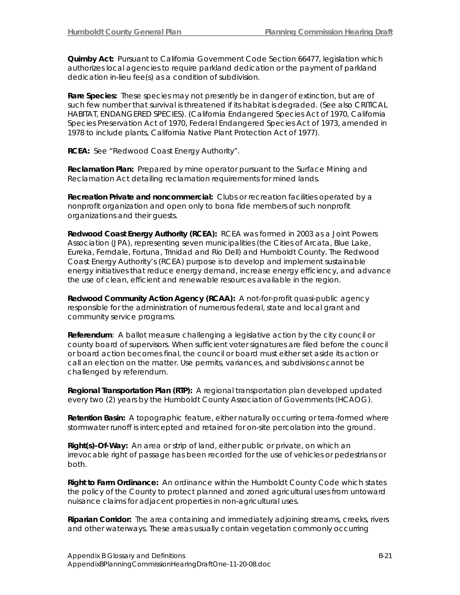**Quimby Act:** Pursuant to California Government Code Section 66477, legislation which authorizes local agencies to require parkland dedication or the payment of parkland dedication in-lieu fee(s) as a condition of subdivision.

**Rare Species:** These species may not presently be in danger of extinction, but are of such few number that survival is threatened if its habitat is degraded. (See also CRITICAL HABITAT, ENDANGERED SPECIES). (California Endangered Species Act of 1970, California Species Preservation Act of 1970, Federal Endangered Species Act of 1973, amended in 1978 to include plants, California Native Plant Protection Act of 1977).

**RCEA:** See "Redwood Coast Energy Authority".

**Reclamation Plan:** Prepared by mine operator pursuant to the Surface Mining and Reclamation Act detailing reclamation requirements for mined lands.

**Recreation Private and noncommercial:** Clubs or recreation facilities operated by a nonprofit organization and open only to bona fide members of such nonprofit organizations and their guests.

**Redwood Coast Energy Authority (RCEA):** RCEA was formed in 2003 as a Joint Powers Association (JPA), representing seven municipalities (the Cities of Arcata, Blue Lake, Eureka, Ferndale, Fortuna, Trinidad and Rio Dell) and Humboldt County. The Redwood Coast Energy Authority's (RCEA) purpose is to develop and implement sustainable energy initiatives that reduce energy demand, increase energy efficiency, and advance the use of clean, efficient and renewable resources available in the region.

**Redwood Community Action Agency (RCAA):** A not-for-profit quasi-public agency responsible for the administration of numerous federal, state and local grant and community service programs.

**Referendum**: A ballot measure challenging a legislative action by the city council or county board of supervisors. When sufficient voter signatures are filed before the council or board action becomes final, the council or board must either set aside its action or call an election on the matter. Use permits, variances, and subdivisions cannot be challenged by referendum.

**Regional Transportation Plan (RTP):** A regional transportation plan developed updated every two (2) years by the Humboldt County Association of Governments (HCAOG).

**Retention Basin:** A topographic feature, either naturally occurring or terra-formed where stormwater runoff is intercepted and retained for on-site percolation into the ground.

**Right(s)-Of-Way:** An area or strip of land, either public or private, on which an irrevocable right of passage has been recorded for the use of vehicles or pedestrians or both.

**Right to Farm Ordinance:** An ordinance within the Humboldt County Code which states the policy of the County to protect planned and zoned agricultural uses from untoward nuisance claims for adjacent properties in non-agricultural uses.

**Riparian Corridor:** The area containing and immediately adjoining streams, creeks, rivers and other waterways. These areas usually contain vegetation commonly occurring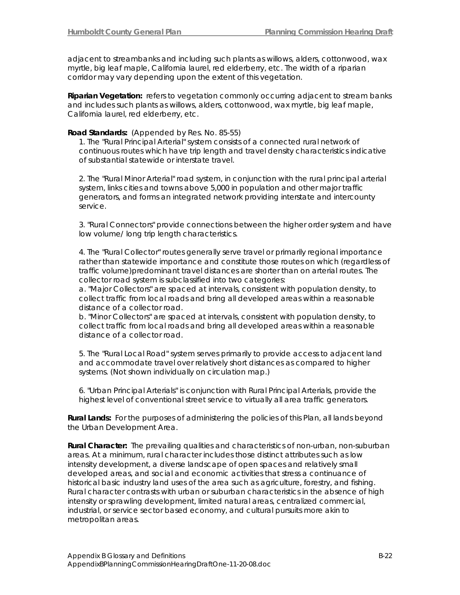adjacent to streambanks and including such plants as willows, alders, cottonwood, wax myrtle, big leaf maple, California laurel, red elderberry, etc. The width of a riparian corridor may vary depending upon the extent of this vegetation.

**Riparian Vegetation:** refers to vegetation commonly occurring adjacent to stream banks and includes such plants as willows, alders, cottonwood, wax myrtle, big leaf maple, California laurel, red elderberry, etc.

### **Road Standards:** (Appended by Res. No. 85-55)

1. The *"Rural Principal Arterial"* system consists of a connected rural network of continuous routes which have trip length and travel density characteristics indicative of substantial statewide or interstate travel.

2. The *"Rural Minor Arterial"* road system, in conjunction with the rural principal arterial system, links cities and towns above 5,000 in population and other major traffic generators, and forms an integrated network providing interstate and intercounty service.

3. *"Rural Connectors"* provide connections between the higher order system and have low volume/ long trip length characteristics.

4. The *"Rural Collector"* routes generally serve travel or primarily regional importance rather than statewide importance and constitute those routes on which (regardless of traffic volume)predominant travel distances are shorter than on arterial routes. The collector road system is subclassified into two categories:

a. "Major Collectors" are spaced at intervals, consistent with population density, to collect traffic from local roads and bring all developed areas within a reasonable distance of a collector road.

b. "Minor Collectors" are spaced at intervals, consistent with population density, to collect traffic from local roads and bring all developed areas within a reasonable distance of a collector road.

5. The *"Rural Local Road"* system serves primarily to provide access to adjacent land and accommodate travel over relatively short distances as compared to higher systems. (Not shown individually on circulation map.)

6. *"Urban Principal Arterials"* is conjunction with Rural Principal Arterials, provide the highest level of conventional street service to virtually all area traffic generators.

**Rural Lands:** For the purposes of administering the policies of this Plan, all lands beyond the Urban Development Area.

**Rural Character:** The prevailing qualities and characteristics of non-urban, non-suburban areas. At a minimum, rural character includes those distinct attributes such as low intensity development, a diverse landscape of open spaces and relatively small developed areas, and social and economic activities that stress a continuance of historical basic industry land uses of the area such as agriculture, forestry, and fishing. Rural character contrasts with urban or suburban characteristics in the absence of high intensity or sprawling development, limited natural areas, centralized commercial, industrial, or service sector based economy, and cultural pursuits more akin to metropolitan areas.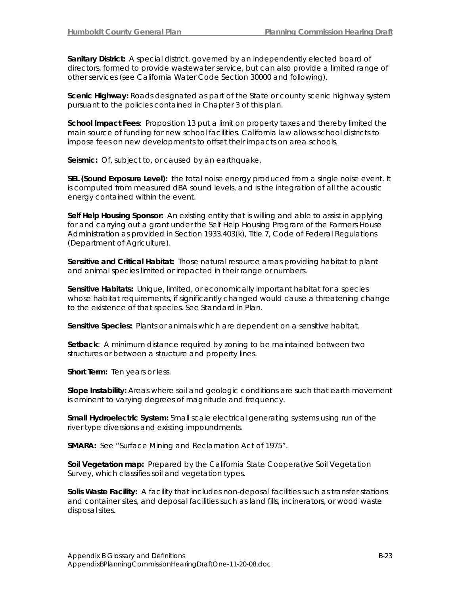**Sanitary District:** A special district, governed by an independently elected board of directors, formed to provide wastewater service, but can also provide a limited range of other services (see California Water Code Section 30000 and following).

**Scenic Highway:** Roads designated as part of the State or county scenic highway system pursuant to the policies contained in Chapter 3 of this plan.

**School Impact Fees**: Proposition 13 put a limit on property taxes and thereby limited the main source of funding for new school facilities. California law allows school districts to impose fees on new developments to offset their impacts on area schools.

Seismic: Of, subject to, or caused by an earthquake.

**SEL (Sound Exposure Level):** the total noise energy produced from a single noise event. It is computed from measured dBA sound levels, and is the integration of all the acoustic energy contained within the event.

**Self Help Housing Sponsor:** An existing entity that is willing and able to assist in applying for and carrying out a grant under the Self Help Housing Program of the Farmers House Administration as provided in Section 1933.403(k), Title 7, Code of Federal Regulations (Department of Agriculture).

**Sensitive and Critical Habitat:** Those natural resource areas providing habitat to plant and animal species limited or impacted in their range or numbers.

**Sensitive Habitats:** Unique, limited, or economically important habitat for a species whose habitat requirements, if significantly changed would cause a threatening change to the existence of that species. See Standard in Plan.

**Sensitive Species:** Plants or animals which are dependent on a sensitive habitat.

**Setback**: A minimum distance required by zoning to be maintained between two structures or between a structure and property lines.

**Short Term:** Ten years or less.

**Slope Instability:** Areas where soil and geologic conditions are such that earth movement is eminent to varying degrees of magnitude and frequency.

**Small Hydroelectric System:** Small scale electrical generating systems using run of the river type diversions and existing impoundments.

**SMARA:** See "Surface Mining and Reclamation Act of 1975".

**Soil Vegetation map:** Prepared by the California State Cooperative Soil Vegetation Survey, which classifies soil and vegetation types.

**Solis Waste Facility:** A facility that includes non-deposal facilities such as transfer stations and container sites, and deposal facilities such as land fills, incinerators, or wood waste disposal sites.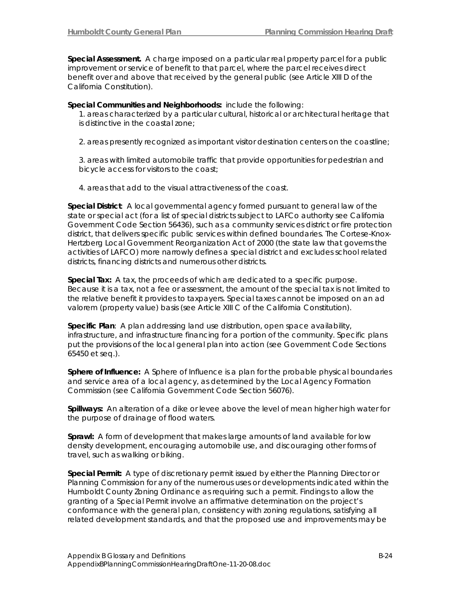**Special Assessment.** A charge imposed on a particular real property parcel for a public improvement or service of benefit to that parcel, where the parcel receives direct benefit over and above that received by the general public (see Article XIII D of the California Constitution).

**Special Communities and Neighborhoods:** include the following:

1. areas characterized by a particular cultural, historical or architectural heritage that is distinctive in the coastal zone;

2. areas presently recognized as important visitor destination centers on the coastline;

3. areas with limited automobile traffic that provide opportunities for pedestrian and bicycle access for visitors to the coast;

4. areas that add to the visual attractiveness of the coast.

**Special District**: A local governmental agency formed pursuant to general law of the state or special act (for a list of special districts subject to LAFCo authority see California Government Code Section 56436), such as a community services district or fire protection district, that delivers specific public services within defined boundaries. The Cortese-Knox-Hertzberg Local Government Reorganization Act of 2000 (the state law that governs the activities of LAFCO) more narrowly defines a special district and excludes school related districts, financing districts and numerous other districts.

**Special Tax:** A tax, the proceeds of which are dedicated to a specific purpose. Because it is a tax, not a fee or assessment, the amount of the special tax is not limited to the relative benefit it provides to taxpayers. Special taxes cannot be imposed on an ad valorem (property value) basis (see Article XIII C of the California Constitution).

**Specific Plan**: A plan addressing land use distribution, open space availability, infrastructure, and infrastructure financing for a portion of the community. Specific plans put the provisions of the local general plan into action (see Government Code Sections 65450 et seq.).

**Sphere of Influence:** A Sphere of Influence is a plan for the probable physical boundaries and service area of a local agency, as determined by the Local Agency Formation Commission (see California Government Code Section 56076).

**Spillways:** An alteration of a dike or levee above the level of mean higher high water for the purpose of drainage of flood waters.

**Sprawl:** A form of development that makes large amounts of land available for low density development, encouraging automobile use, and discouraging other forms of travel, such as walking or biking.

**Special Permit:** A type of discretionary permit issued by either the Planning Director or Planning Commission for any of the numerous uses or developments indicated within the Humboldt County Zoning Ordinance as requiring such a permit. Findings to allow the granting of a Special Permit involve an affirmative determination on the project's conformance with the general plan, consistency with zoning regulations, satisfying all related development standards, and that the proposed use and improvements may be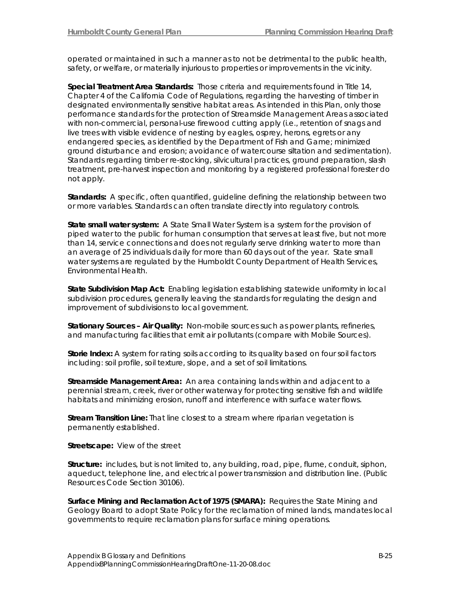operated or maintained in such a manner as to not be detrimental to the public health, safety, or welfare, or materially injurious to properties or improvements in the vicinity.

**Special Treatment Area Standards:** Those criteria and requirements found in Title 14, Chapter 4 of the California Code of Regulations, regarding the harvesting of timber in designated environmentally sensitive habitat areas. As intended in this Plan, only those performance standards for the protection of Streamside Management Areas associated with non-commercial, personal-use firewood cutting apply (i.e., retention of snags and live trees with visible evidence of nesting by eagles, osprey, herons, egrets or any endangered species, as identified by the Department of Fish and Game; minimized ground disturbance and erosion; avoidance of watercourse siltation and sedimentation). Standards regarding timber re-stocking, silvicultural practices, ground preparation, slash treatment, pre-harvest inspection and monitoring by a registered professional forester do not apply.

**Standards:** A specific, often quantified, guideline defining the relationship between two or more variables. Standards can often translate directly into regulatory controls.

**State small water system:** A State Small Water System is a system for the provision of piped water to the public for human consumption that serves at least five, but not more than 14, service connections and does not regularly serve drinking water to more than an average of 25 individuals daily for more than 60 days out of the year. State small water systems are regulated by the Humboldt County Department of Health Services, Environmental Health.

**State Subdivision Map Act:** Enabling legislation establishing statewide uniformity in local subdivision procedures, generally leaving the standards for regulating the design and improvement of subdivisions to local government.

**Stationary Sources – Air Quality:** Non-mobile sources such as power plants, refineries, and manufacturing facilities that emit air pollutants (compare with Mobile Sources).

**Storie Index:** A system for rating soils according to its quality based on four soil factors including: soil profile, soil texture, slope, and a set of soil limitations.

**Streamside Management Area:** An area containing lands within and adjacent to a perennial stream, creek, river or other waterway for protecting sensitive fish and wildlife habitats and minimizing erosion, runoff and interference with surface water flows.

**Stream Transition Line:** That line closest to a stream where riparian vegetation is permanently established.

**Streetscape:** View of the street

**Structure:** includes, but is not limited to, any building, road, pipe, flume, conduit, siphon, aqueduct, telephone line, and electrical power transmission and distribution line. (Public Resources Code Section 30106).

**Surface Mining and Reclamation Act of 1975 (SMARA):** Requires the State Mining and Geology Board to adopt State Policy for the reclamation of mined lands, mandates local governments to require reclamation plans for surface mining operations.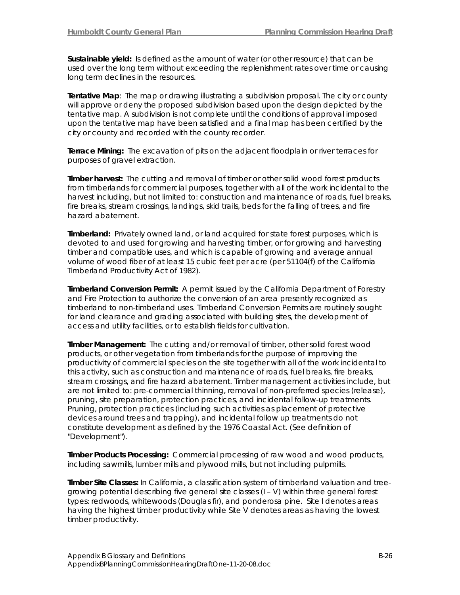**Sustainable yield:** Is defined as the amount of water (or other resource) that can be used over the long term without exceeding the replenishment rates over time or causing long term declines in the resources.

**Tentative Map**: The map or drawing illustrating a subdivision proposal. The city or county will approve or deny the proposed subdivision based upon the design depicted by the tentative map. A subdivision is not complete until the conditions of approval imposed upon the tentative map have been satisfied and a final map has been certified by the city or county and recorded with the county recorder.

**Terrace Mining:** The excavation of pits on the adjacent floodplain or river terraces for purposes of gravel extraction.

**Timber harvest:** The cutting and removal of timber or other solid wood forest products from timberlands for commercial purposes, together with all of the work incidental to the harvest including, but not limited to: construction and maintenance of roads, fuel breaks, fire breaks, stream crossings, landings, skid trails, beds for the falling of trees, and fire hazard abatement.

**Timberland:** Privately owned land, or land acquired for state forest purposes, which is devoted to and used for growing and harvesting timber, or for growing and harvesting timber and compatible uses, and which is capable of growing and average annual volume of wood fiber of at least 15 cubic feet per acre (per 51104(f) of the California Timberland Productivity Act of 1982).

**Timberland Conversion Permit:** A permit issued by the California Department of Forestry and Fire Protection to authorize the conversion of an area presently recognized as timberland to non-timberland uses. Timberland Conversion Permits are routinely sought for land clearance and grading associated with building sites, the development of access and utility facilities, or to establish fields for cultivation.

**Timber Management:** The cutting and/or removal of timber, other solid forest wood products, or other vegetation from timberlands for the purpose of improving the productivity of commercial species on the site together with all of the work incidental to this activity, such as construction and maintenance of roads, fuel breaks, fire breaks, stream crossings, and fire hazard abatement. Timber management activities include, but are not limited to: pre-commercial thinning, removal of non-preferred species (release), pruning, site preparation, protection practices, and incidental follow-up treatments. Pruning, protection practices (including such activities as placement of protective devices around trees and trapping), and incidental follow up treatments do not constitute development as defined by the 1976 Coastal Act. (See definition of "Development").

**Timber Products Processing:** Commercial processing of raw wood and wood products, including sawmills, lumber mills and plywood mills, but not including pulpmills.

**Timber Site Classes:** In California, a classification system of timberland valuation and treegrowing potential describing five general site classes (I – V) within three general forest types: redwoods, whitewoods (Douglas fir), and ponderosa pine. Site I denotes areas having the highest timber productivity while Site V denotes areas as having the lowest timber productivity.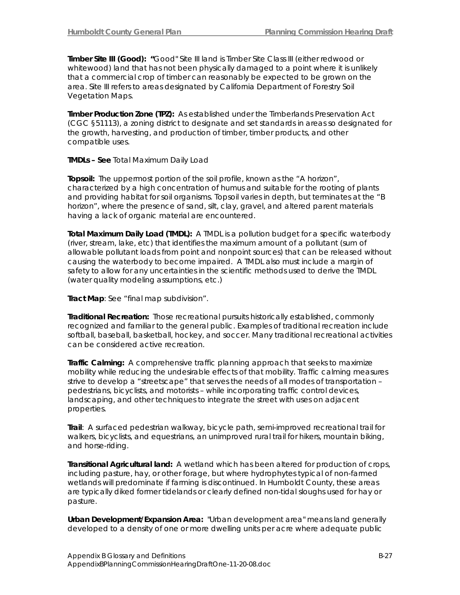**Timber Site III (Good): "**Good" Site III land is Timber Site Class III (either redwood or whitewood) land that has not been physically damaged to a point where it is unlikely that a commercial crop of timber can reasonably be expected to be grown on the area. Site III refers to areas designated by California Department of Forestry Soil Vegetation Maps.

**Timber Production Zone (TPZ):** As established under the Timberlands Preservation Act (CGC §51113), a zoning district to designate and set standards in areas so designated for the growth, harvesting, and production of timber, timber products, and other compatible uses.

**TMDLs – See** Total Maximum Daily Load

**Topsoil:** The uppermost portion of the soil profile, known as the "A horizon", characterized by a high concentration of humus and suitable for the rooting of plants and providing habitat for soil organisms. Topsoil varies in depth, but terminates at the "B horizon", where the presence of sand, silt, clay, gravel, and altered parent materials having a lack of organic material are encountered.

**Total Maximum Daily Load (TMDL):** A TMDL is a pollution budget for a specific waterbody (river, stream, lake, etc) that identifies the maximum amount of a pollutant (sum of allowable pollutant loads from point and nonpoint sources) that can be released without causing the waterbody to become impaired. A TMDL also must include a margin of safety to allow for any uncertainties in the scientific methods used to derive the TMDL (water quality modeling assumptions, etc.)

**Tract Map**: See "final map subdivision".

**Traditional Recreation:** Those recreational pursuits historically established, commonly recognized and familiar to the general public. Examples of traditional recreation include softball, baseball, basketball, hockey, and soccer. Many traditional recreational activities can be considered active recreation.

**Traffic Calming:** A comprehensive traffic planning approach that seeks to maximize mobility while reducing the undesirable effects of that mobility. Traffic calming measures strive to develop a "streetscape" that serves the needs of all modes of transportation – pedestrians, bicyclists, and motorists – while incorporating traffic control devices, landscaping, and other techniques to integrate the street with uses on adjacent properties.

**Trail**: A surfaced pedestrian walkway, bicycle path, semi-improved recreational trail for walkers, bicyclists, and equestrians, an unimproved rural trail for hikers, mountain biking, and horse-riding.

**Transitional Agricultural land:** A wetland which has been altered for production of crops, including pasture, hay, or other forage, but where hydrophytes typical of non-farmed wetlands will predominate if farming is discontinued. In Humboldt County, these areas are typically diked former tidelands or clearly defined non-tidal sloughs used for hay or pasture.

**Urban Development/Expansion Area:** "Urban development area" means land generally developed to a density of one or more dwelling units per acre where adequate public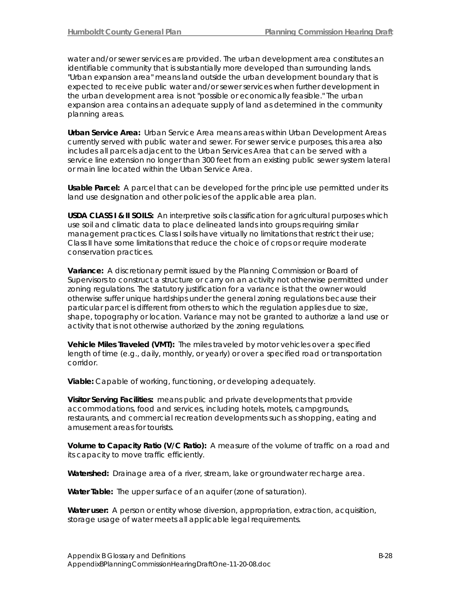water and/or sewer services are provided. The urban development area constitutes an identifiable community that is substantially more developed than surrounding lands. "Urban expansion area" means land outside the urban development boundary that is expected to receive public water and/or sewer services when further development in the urban development area is not "possible or economically feasible." The urban expansion area contains an adequate supply of land as determined in the community planning areas.

**Urban Service Area:** Urban Service Area means areas within Urban Development Areas currently served with public water and sewer. For sewer service purposes, this area also includes all parcels adjacent to the Urban Services Area that can be served with a service line extension no longer than 300 feet from an existing public sewer system lateral or main line located within the Urban Service Area.

**Usable Parcel:** A parcel that can be developed for the principle use permitted under its land use designation and other policies of the applicable area plan.

**USDA CLASS I & II SOILS:** An interpretive soils classification for agricultural purposes which use soil and climatic data to place delineated lands into groups requiring similar management practices. Class I soils have virtually no limitations that restrict their use; Class II have some limitations that reduce the choice of crops or require moderate conservation practices.

**Variance:** A discretionary permit issued by the Planning Commission or Board of Supervisors to construct a structure or carry on an activity not otherwise permitted under zoning regulations. The statutory justification for a variance is that the owner would otherwise suffer unique hardships under the general zoning regulations because their particular parcel is different from others to which the regulation applies due to size, shape, topography or location. Variance may not be granted to authorize a land use or activity that is not otherwise authorized by the zoning regulations.

**Vehicle Miles Traveled (VMT):** The miles traveled by motor vehicles over a specified length of time (e.g., daily, monthly, or yearly) or over a specified road or transportation corridor.

**Viable:** Capable of working, functioning, or developing adequately.

**Visitor Serving Facilities:** means public and private developments that provide accommodations, food and services, including hotels, motels, campgrounds, restaurants, and commercial recreation developments such as shopping, eating and amusement areas for tourists.

**Volume to Capacity Ratio (V/C Ratio):** A measure of the volume of traffic on a road and its capacity to move traffic efficiently.

**Watershed:** Drainage area of a river, stream, lake or groundwater recharge area.

**Water Table:** The upper surface of an aquifer (zone of saturation).

**Water user:** A person or entity whose diversion, appropriation, extraction, acquisition, storage usage of water meets all applicable legal requirements.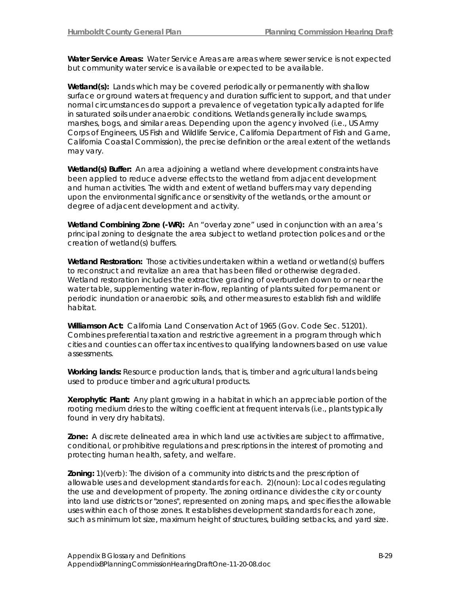**Water Service Areas:** Water Service Areas are areas where sewer service is not expected but community water service is available or expected to be available.

**Wetland(s):** Lands which may be covered periodically or permanently with shallow surface or ground waters at frequency and duration sufficient to support, and that under normal circumstances do support a prevalence of vegetation typically adapted for life in saturated soils under anaerobic conditions. Wetlands generally include swamps, marshes, bogs, and similar areas. Depending upon the agency involved (i.e., US Army Corps of Engineers, US Fish and Wildlife Service, California Department of Fish and Game, California Coastal Commission), the precise definition or the areal extent of the wetlands may vary.

**Wetland(s) Buffer:** An area adjoining a wetland where development constraints have been applied to reduce adverse effects to the wetland from adjacent development and human activities. The width and extent of wetland buffers may vary depending upon the environmental significance or sensitivity of the wetlands, or the amount or degree of adjacent development and activity.

**Wetland Combining Zone (-WR):** An "overlay zone" used in conjunction with an area's principal zoning to designate the area subject to wetland protection polices and or the creation of wetland(s) buffers.

**Wetland Restoration:** Those activities undertaken within a wetland or wetland(s) buffers to reconstruct and revitalize an area that has been filled or otherwise degraded. Wetland restoration includes the extractive grading of overburden down to or near the water table, supplementing water in-flow, replanting of plants suited for permanent or periodic inundation or anaerobic soils, and other measures to establish fish and wildlife habitat.

**Williamson Act:** California Land Conservation Act of 1965 (Gov. Code Sec. 51201). Combines preferential taxation and restrictive agreement in a program through which cities and counties can offer tax incentives to qualifying landowners based on use value assessments.

**Working lands:** Resource production lands, that is, timber and agricultural lands being used to produce timber and agricultural products.

**Xerophytic Plant:** Any plant growing in a habitat in which an appreciable portion of the rooting medium dries to the wilting coefficient at frequent intervals (i.e., plants typically found in very dry habitats).

**Zone:** A discrete delineated area in which land use activities are subject to affirmative, conditional, or prohibitive regulations and prescriptions in the interest of promoting and protecting human health, safety, and welfare.

**Zoning:** 1)(verb): The division of a community into districts and the prescription of allowable uses and development standards for each. 2)(noun): Local codes regulating the use and development of property. The zoning ordinance divides the city or county into land use districts or "zones", represented on zoning maps, and specifies the allowable uses within each of those zones. It establishes development standards for each zone, such as minimum lot size, maximum height of structures, building setbacks, and yard size.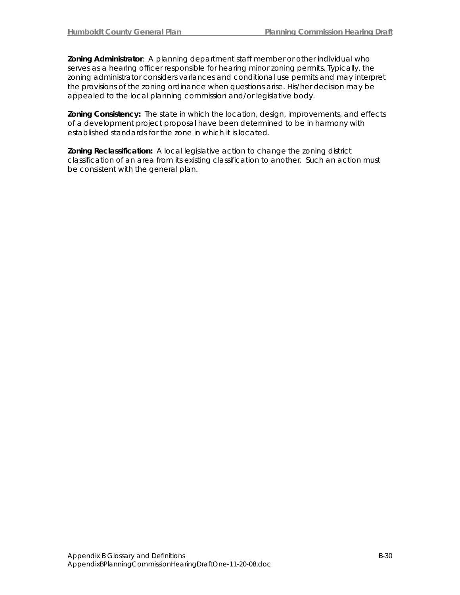**Zoning Administrator**: A planning department staff member or other individual who serves as a hearing officer responsible for hearing minor zoning permits. Typically, the zoning administrator considers variances and conditional use permits and may interpret the provisions of the zoning ordinance when questions arise. His/her decision may be appealed to the local planning commission and/or legislative body.

**Zoning Consistency:** The state in which the location, design, improvements, and effects of a development project proposal have been determined to be in harmony with established standards for the zone in which it is located.

**Zoning Reclassification:** A local legislative action to change the zoning district classification of an area from its existing classification to another. Such an action must be consistent with the general plan.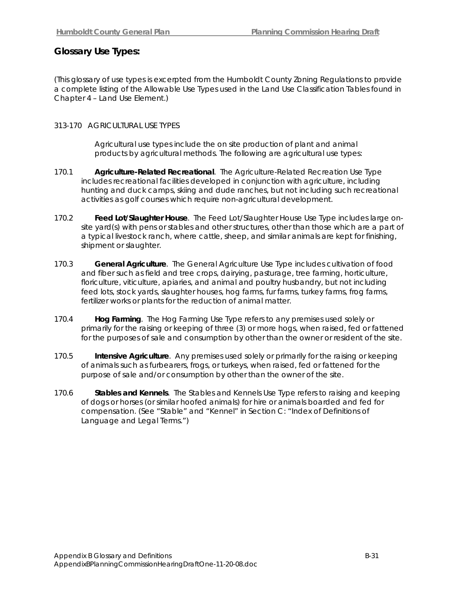# **Glossary Use Types:**

*(This glossary of use types is excerpted from the Humboldt County Zoning Regulations to provide a complete listing of the Allowable Use Types used in the Land Use Classification Tables found in Chapter 4 – Land Use Element.)* 

# 313-170 AGRICULTURAL USE TYPES

Agricultural use types include the on site production of plant and animal products by agricultural methods. The following are agricultural use types:

- 170.1 **Agriculture-Related Recreational**. The Agriculture-Related Recreation Use Type includes recreational facilities developed in conjunction with agriculture, including hunting and duck camps, skiing and dude ranches, but not including such recreational activities as golf courses which require non-agricultural development.
- 170.2 **Feed Lot/Slaughter House**. The Feed Lot/Slaughter House Use Type includes large onsite yard(s) with pens or stables and other structures, other than those which are a part of a typical livestock ranch, where cattle, sheep, and similar animals are kept for finishing, shipment or slaughter.
- 170.3 **General Agriculture**. The General Agriculture Use Type includes cultivation of food and fiber such as field and tree crops, dairying, pasturage, tree farming, horticulture, floriculture, viticulture, apiaries, and animal and poultry husbandry, but not including feed lots, stock yards, slaughter houses, hog farms, fur farms, turkey farms, frog farms, fertilizer works or plants for the reduction of animal matter.
- 170.4 **Hog Farming**. The Hog Farming Use Type refers to any premises used solely or primarily for the raising or keeping of three (3) or more hogs, when raised, fed or fattened for the purposes of sale and consumption by other than the owner or resident of the site.
- 170.5 **Intensive Agriculture**. Any premises used solely or primarily for the raising or keeping of animals such as furbearers, frogs, or turkeys, when raised, fed or fattened for the purpose of sale and/or consumption by other than the owner of the site.
- 170.6 **Stables and Kennels**. The Stables and Kennels Use Type refers to raising and keeping of dogs or horses (or similar hoofed animals) for hire or animals boarded and fed for compensation. (See "Stable" and "Kennel" in Section C: "Index of Definitions of Language and Legal Terms.")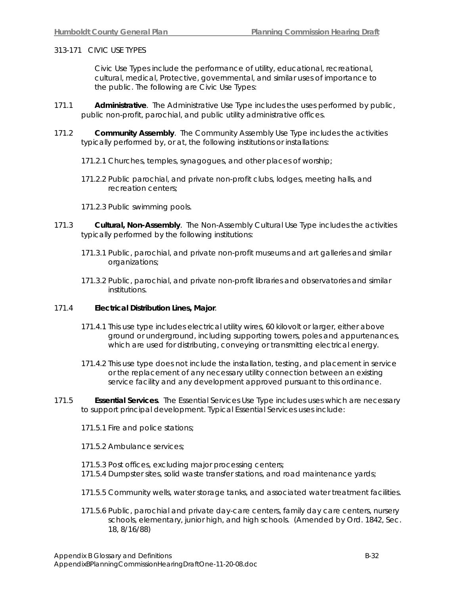#### 313-171 CIVIC USE TYPES

Civic Use Types include the performance of utility, educational, recreational, cultural, medical, Protective, governmental, and similar uses of importance to the public. The following are Civic Use Types:

- 171.1 **Administrative**. The Administrative Use Type includes the uses performed by public, public non-profit, parochial, and public utility administrative offices.
- 171.2 **Community Assembly**. The Community Assembly Use Type includes the activities typically performed by, or at, the following institutions or installations:
	- 171.2.1 Churches, temples, synagogues, and other places of worship;
	- 171.2.2 Public parochial, and private non-profit clubs, lodges, meeting halls, and recreation centers;
	- 171.2.3 Public swimming pools.
- 171.3 **Cultural, Non-Assembly**. The Non-Assembly Cultural Use Type includes the activities typically performed by the following institutions:
	- 171.3.1 Public, parochial, and private non-profit museums and art galleries and similar organizations;
	- 171.3.2 Public, parochial, and private non-profit libraries and observatories and similar institutions.

#### 171.4 **Electrical Distribution Lines, Major**.

- 171.4.1 This use type includes electrical utility wires, 60 kilovolt or larger, either above ground or underground, including supporting towers, poles and appurtenances, which are used for distributing, conveying or transmitting electrical energy.
- 171.4.2 This use type does not include the installation, testing, and placement in service or the replacement of any necessary utility connection between an existing service facility and any development approved pursuant to this ordinance.
- 171.5 **Essential Services**. The Essential Services Use Type includes uses which are necessary to support principal development. Typical Essential Services uses include:
	- 171.5.1 Fire and police stations;
	- 171.5.2 Ambulance services;
	- 171.5.3 Post offices, excluding major processing centers;
	- 171.5.4 Dumpster sites, solid waste transfer stations, and road maintenance yards;
	- 171.5.5 Community wells, water storage tanks, and associated water treatment facilities.
	- 171.5.6 Public, parochial and private day-care centers, family day care centers, nursery schools, elementary, junior high, and high schools. (Amended by Ord. 1842, Sec. 18, 8/16/88)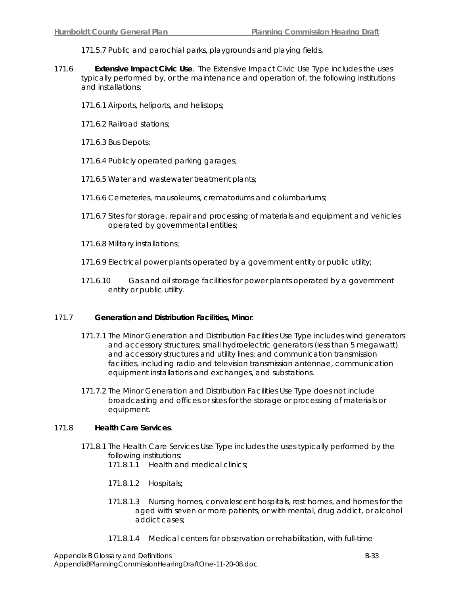- 171.5.7 Public and parochial parks, playgrounds and playing fields.
- 171.6 **Extensive Impact Civic Use**. The Extensive Impact Civic Use Type includes the uses typically performed by, or the maintenance and operation of, the following institutions and installations:
	- 171.6.1 Airports, heliports, and helistops;
	- 171.6.2 Railroad stations;
	- 171.6.3 Bus Depots;
	- 171.6.4 Publicly operated parking garages;
	- 171.6.5 Water and wastewater treatment plants;
	- 171.6.6 Cemeteries, mausoleums, crematoriums and columbariums;
	- 171.6.7 Sites for storage, repair and processing of materials and equipment and vehicles operated by governmental entities;
	- 171.6.8 Military installations;
	- 171.6.9 Electrical power plants operated by a government entity or public utility;
	- 171.6.10 Gas and oil storage facilities for power plants operated by a government entity or public utility.

#### 171.7 **Generation and Distribution Facilities, Minor**.

- 171.7.1 The Minor Generation and Distribution Facilities Use Type includes wind generators and accessory structures; small hydroelectric generators (less than 5 megawatt) and accessory structures and utility lines; and communication transmission facilities, including radio and television transmission antennae, communication equipment installations and exchanges, and substations.
- 171.7.2 The Minor Generation and Distribution Facilities Use Type does not include broadcasting and offices or sites for the storage or processing of materials or equipment.

#### 171.8 **Health Care Services**.

- 171.8.1 The Health Care Services Use Type includes the uses typically performed by the following institutions:
	- 171.8.1.1 Health and medical clinics;
	- 171.8.1.2 Hospitals;
	- 171.8.1.3 Nursing homes, convalescent hospitals, rest homes, and homes for the aged with seven or more patients, or with mental, drug addict, or alcohol addict cases;
	- 171.8.1.4 Medical centers for observation or rehabilitation, with full-time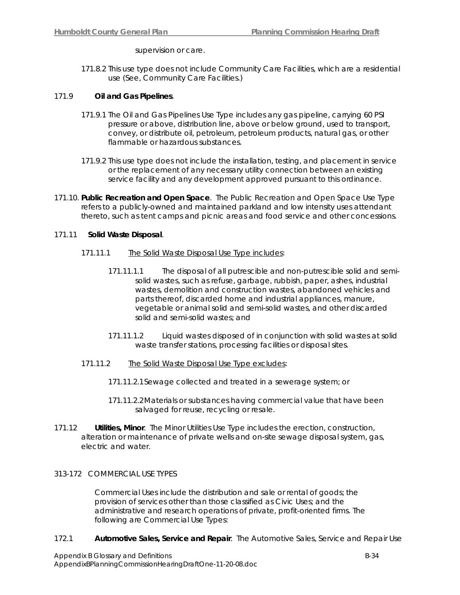supervision or care.

171.8.2 This use type does not include Community Care Facilities, which are a residential use (See, Community Care Facilities.)

#### 171.9 **Oil and Gas Pipelines**.

- 171.9.1 The Oil and Gas Pipelines Use Type includes any gas pipeline, carrying 60 PSI pressure or above, distribution line, above or below ground, used to transport, convey, or distribute oil, petroleum, petroleum products, natural gas, or other flammable or hazardous substances.
- 171.9.2 This use type does not include the installation, testing, and placement in service or the replacement of any necessary utility connection between an existing service facility and any development approved pursuant to this ordinance.
- 171.10. **Public Recreation and Open Space**. The Public Recreation and Open Space Use Type refers to a publicly-owned and maintained parkland and low intensity uses attendant thereto, such as tent camps and picnic areas and food service and other concessions.

#### 171.11 **Solid Waste Disposal**.

- 171.11.1 The Solid Waste Disposal Use Type includes:
	- 171.11.1.1 The disposal of all putrescible and non-putrescible solid and semisolid wastes, such as refuse, garbage, rubbish, paper, ashes, industrial wastes, demolition and construction wastes, abandoned vehicles and parts thereof, discarded home and industrial appliances, manure, vegetable or animal solid and semi-solid wastes, and other discarded solid and semi-solid wastes; and
	- 171.11.1.2 Liquid wastes disposed of in conjunction with solid wastes at solid waste transfer stations, processing facilities or disposal sites.
- 171.11.2 The Solid Waste Disposal Use Type excludes:
	- 171.11.2.1 Sewage collected and treated in a sewerage system; or
	- 171.11.2.2 Materials or substances having commercial value that have been salvaged for reuse, recycling or resale.
- 171.12 **Utilities, Minor**. The Minor Utilities Use Type includes the erection, construction, alteration or maintenance of private wells and on-site sewage disposal system, gas, electric and water.

#### 313-172 COMMERCIAL USE TYPES

Commercial Uses include the distribution and sale or rental of goods; the provision of services other than those classified as Civic Uses; and the administrative and research operations of private, profit-oriented firms. The following are Commercial Use Types:

172.1 **Automotive Sales, Service and Repair**. The Automotive Sales, Service and Repair Use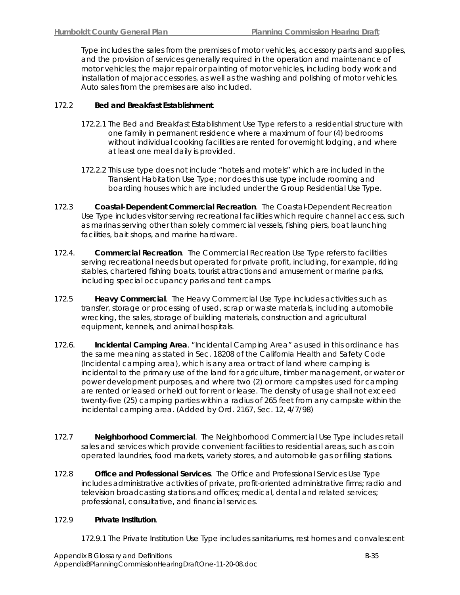Type includes the sales from the premises of motor vehicles, accessory parts and supplies, and the provision of services generally required in the operation and maintenance of motor vehicles; the major repair or painting of motor vehicles, including body work and installation of major accessories, as well as the washing and polishing of motor vehicles. Auto sales from the premises are also included.

### 172.2 **Bed and Breakfast Establishment**.

- 172.2.1 The Bed and Breakfast Establishment Use Type refers to a residential structure with one family in permanent residence where a maximum of four (4) bedrooms without individual cooking facilities are rented for overnight lodging, and where at least one meal daily is provided.
- 172.2.2 This use type does not include "hotels and motels" which are included in the Transient Habitation Use Type; nor does this use type include rooming and boarding houses which are included under the Group Residential Use Type.
- 172.3 **Coastal-Dependent Commercial Recreation**. The Coastal-Dependent Recreation Use Type includes visitor serving recreational facilities which require channel access, such as marinas serving other than solely commercial vessels, fishing piers, boat launching facilities, bait shops, and marine hardware.
- 172.4. **Commercial Recreation**. The Commercial Recreation Use Type refers to facilities serving recreational needs but operated for private profit, including, for example, riding stables, chartered fishing boats, tourist attractions and amusement or marine parks, including special occupancy parks and tent camps.
- 172.5 **Heavy Commercial**. The Heavy Commercial Use Type includes activities such as transfer, storage or processing of used, scrap or waste materials, including automobile wrecking, the sales, storage of building materials, construction and agricultural equipment, kennels, and animal hospitals.
- 172.6. **Incidental Camping Area**. "Incidental Camping Area" as used in this ordinance has the same meaning as stated in Sec. 18208 of the California Health and Safety Code (Incidental camping area), which is any area or tract of land where camping is incidental to the primary use of the land for agriculture, timber management, or water or power development purposes, and where two (2) or more campsites used for camping are rented or leased or held out for rent or lease. The density of usage shall not exceed twenty-five (25) camping parties within a radius of 265 feet from any campsite within the incidental camping area. (Added by Ord. 2167, Sec. 12, 4/7/98)
- 172.7 **Neighborhood Commercial**. The Neighborhood Commercial Use Type includes retail sales and services which provide convenient facilities to residential areas, such as coin operated laundries, food markets, variety stores, and automobile gas or filling stations.
- 172.8 **Office and Professional Services**. The Office and Professional Services Use Type includes administrative activities of private, profit-oriented administrative firms; radio and television broadcasting stations and offices; medical, dental and related services; professional, consultative, and financial services.

#### 172.9 **Private Institution**.

172.9.1 The Private Institution Use Type includes sanitariums, rest homes and convalescent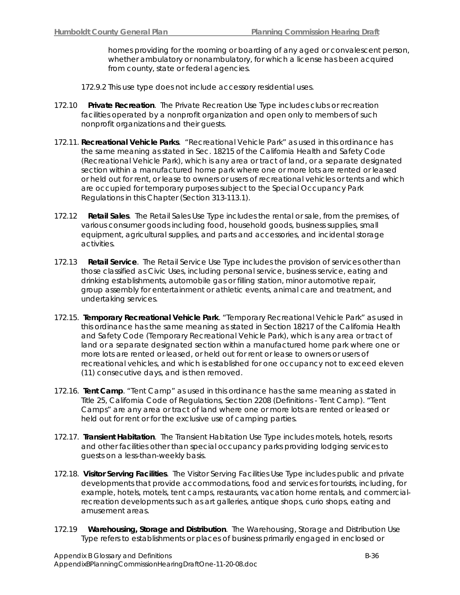homes providing for the rooming or boarding of any aged or convalescent person, whether ambulatory or nonambulatory, for which a license has been acquired from county, state or federal agencies.

- 172.9.2 This use type does not include accessory residential uses.
- 172.10 **Private Recreation**. The Private Recreation Use Type includes clubs or recreation facilities operated by a nonprofit organization and open only to members of such nonprofit organizations and their guests.
- 172.11. **Recreational Vehicle Parks**. "Recreational Vehicle Park" as used in this ordinance has the same meaning as stated in Sec. 18215 of the California Health and Safety Code (Recreational Vehicle Park), which is any area or tract of land, or a separate designated section within a manufactured home park where one or more lots are rented or leased or held out for rent, or lease to owners or users of recreational vehicles or tents and which are occupied for temporary purposes subject to the Special Occupancy Park Regulations in this Chapter (Section 313-113.1).
- 172.12 **Retail Sales**. The Retail Sales Use Type includes the rental or sale, from the premises, of various consumer goods including food, household goods, business supplies, small equipment, agricultural supplies, and parts and accessories, and incidental storage activities.
- 172.13 **Retail Service**. The Retail Service Use Type includes the provision of services other than those classified as Civic Uses, including personal service, business service, eating and drinking establishments, automobile gas or filling station, minor automotive repair, group assembly for entertainment or athletic events, animal care and treatment, and undertaking services.
- 172.15. **Temporary Recreational Vehicle Park**. "Temporary Recreational Vehicle Park" as used in this ordinance has the same meaning as stated in Section 18217 of the California Health and Safety Code (Temporary Recreational Vehicle Park), which is any area or tract of land or a separate designated section within a manufactured home park where one or more lots are rented or leased, or held out for rent or lease to owners or users of recreational vehicles, and which is established for one occupancy not to exceed eleven (11) consecutive days, and is then removed.
- 172.16. **Tent Camp**. "Tent Camp" as used in this ordinance has the same meaning as stated in Title 25, California Code of Regulations, Section 2208 (Definitions - Tent Camp). "Tent Camps" are any area or tract of land where one or more lots are rented or leased or held out for rent or for the exclusive use of camping parties.
- 172.17. **Transient Habitation**. The Transient Habitation Use Type includes motels, hotels, resorts and other facilities other than special occupancy parks providing lodging services to guests on a less-than-weekly basis.
- 172.18. **Visitor Serving Facilities**. The Visitor Serving Facilities Use Type includes public and private developments that provide accommodations, food and services for tourists, including, for example, hotels, motels, tent camps, restaurants, vacation home rentals, and commercialrecreation developments such as art galleries, antique shops, curio shops, eating and amusement areas.
- 172.19 **Warehousing, Storage and Distribution**. The Warehousing, Storage and Distribution Use Type refers to establishments or places of business primarily engaged in enclosed or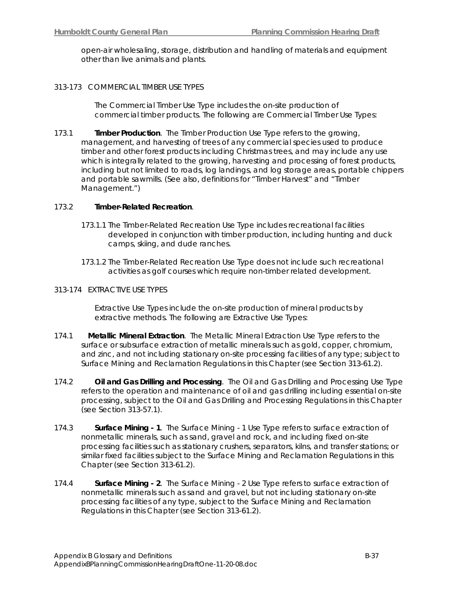open-air wholesaling, storage, distribution and handling of materials and equipment other than live animals and plants.

#### 313-173 COMMERCIAL TIMBER USE TYPES

The Commercial Timber Use Type includes the on-site production of commercial timber products. The following are Commercial Timber Use Types:

173.1 **Timber Production**. The Timber Production Use Type refers to the growing, management, and harvesting of trees of any commercial species used to produce timber and other forest products including Christmas trees, and may include any use which is integrally related to the growing, harvesting and processing of forest products, including but not limited to roads, log landings, and log storage areas, portable chippers and portable sawmills. (See also, definitions for "Timber Harvest" and "Timber Management.")

# 173.2 **Timber-Related Recreation**.

- 173.1.1 The Timber-Related Recreation Use Type includes recreational facilities developed in conjunction with timber production, including hunting and duck camps, skiing, and dude ranches.
- 173.1.2 The Timber-Related Recreation Use Type does not include such recreational activities as golf courses which require non-timber related development.

#### 313-174 EXTRACTIVE USE TYPES

Extractive Use Types include the on-site production of mineral products by extractive methods. The following are Extractive Use Types:

- 174.1 **Metallic Mineral Extraction**. The Metallic Mineral Extraction Use Type refers to the surface or subsurface extraction of metallic minerals such as gold, copper, chromium, and zinc, and not including stationary on-site processing facilities of any type; subject to Surface Mining and Reclamation Regulations in this Chapter (see Section 313-61.2).
- 174.2 **Oil and Gas Drilling and Processing**. The Oil and Gas Drilling and Processing Use Type refers to the operation and maintenance of oil and gas drilling including essential on-site processing, subject to the Oil and Gas Drilling and Processing Regulations in this Chapter (see Section 313-57.1).
- 174.3 **Surface Mining 1**. The Surface Mining 1 Use Type refers to surface extraction of nonmetallic minerals, such as sand, gravel and rock, and including fixed on-site processing facilities such as stationary crushers, separators, kilns, and transfer stations; or similar fixed facilities subject to the Surface Mining and Reclamation Regulations in this Chapter (see Section 313-61.2).
- 174.4 **Surface Mining 2**. The Surface Mining 2 Use Type refers to surface extraction of nonmetallic minerals such as sand and gravel, but not including stationary on-site processing facilities of any type, subject to the Surface Mining and Reclamation Regulations in this Chapter (see Section 313-61.2).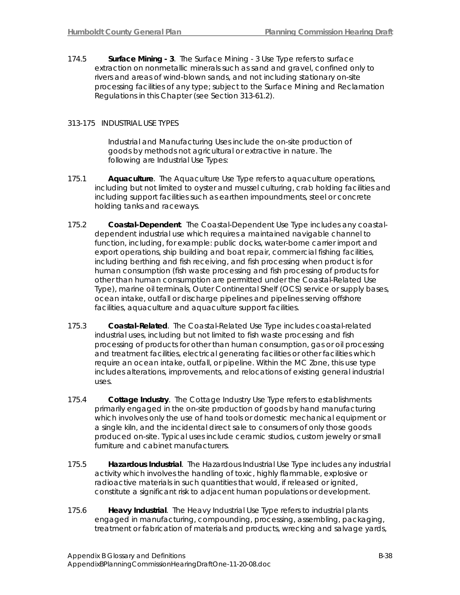174.5 **Surface Mining - 3**. The Surface Mining - 3 Use Type refers to surface extraction on nonmetallic minerals such as sand and gravel, confined only to rivers and areas of wind-blown sands, and not including stationary on-site processing facilities of any type; subject to the Surface Mining and Reclamation Regulations in this Chapter (see Section 313-61.2).

### 313-175 INDUSTRIAL USE TYPES

Industrial and Manufacturing Uses include the on-site production of goods by methods not agricultural or extractive in nature. The following are Industrial Use Types:

- 175.1 **Aquaculture**. The Aquaculture Use Type refers to aquaculture operations, including but not limited to oyster and mussel culturing, crab holding facilities and including support facilities such as earthen impoundments, steel or concrete holding tanks and raceways.
- 175.2 **Coastal-Dependent**. The Coastal-Dependent Use Type includes any coastaldependent industrial use which requires a maintained navigable channel to function, including, for example: public docks, water-borne carrier import and export operations, ship building and boat repair, commercial fishing facilities, including berthing and fish receiving, and fish processing when product is for human consumption (fish waste processing and fish processing of products for other than human consumption are permitted under the Coastal-Related Use Type), marine oil terminals, Outer Continental Shelf (OCS) service or supply bases, ocean intake, outfall or discharge pipelines and pipelines serving offshore facilities, aquaculture and aquaculture support facilities.
- 175.3 **Coastal-Related**. The Coastal-Related Use Type includes coastal-related industrial uses, including but not limited to fish waste processing and fish processing of products for other than human consumption, gas or oil processing and treatment facilities, electrical generating facilities or other facilities which require an ocean intake, outfall, or pipeline. Within the MC Zone, this use type includes alterations, improvements, and relocations of existing general industrial uses.
- 175.4 **Cottage Industry**. The Cottage Industry Use Type refers to establishments primarily engaged in the on-site production of goods by hand manufacturing which involves only the use of hand tools or domestic mechanical equipment or a single kiln, and the incidental direct sale to consumers of only those goods produced on-site. Typical uses include ceramic studios, custom jewelry or small furniture and cabinet manufacturers.
- 175.5 **Hazardous Industrial**. The Hazardous Industrial Use Type includes any industrial activity which involves the handling of toxic, highly flammable, explosive or radioactive materials in such quantities that would, if released or ignited, constitute a significant risk to adjacent human populations or development.
- 175.6 **Heavy Industrial**. The Heavy Industrial Use Type refers to industrial plants engaged in manufacturing, compounding, processing, assembling, packaging, treatment or fabrication of materials and products, wrecking and salvage yards,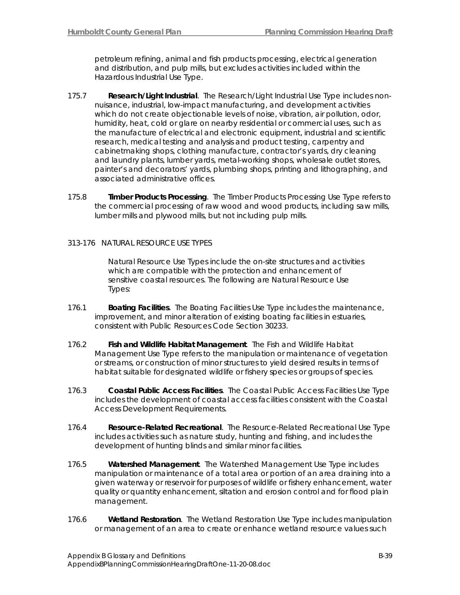petroleum refining, animal and fish products processing, electrical generation and distribution, and pulp mills, but excludes activities included within the Hazardous Industrial Use Type.

- 175.7 **Research/Light Industrial**. The Research/Light Industrial Use Type includes nonnuisance, industrial, low-impact manufacturing, and development activities which do not create objectionable levels of noise, vibration, air pollution, odor, humidity, heat, cold or glare on nearby residential or commercial uses, such as the manufacture of electrical and electronic equipment, industrial and scientific research, medical testing and analysis and product testing, carpentry and cabinetmaking shops, clothing manufacture, contractor's yards, dry cleaning and laundry plants, lumber yards, metal-working shops, wholesale outlet stores, painter's and decorators' yards, plumbing shops, printing and lithographing, and associated administrative offices.
- 175.8 **Timber Products Processing**. The Timber Products Processing Use Type refers to the commercial processing of raw wood and wood products, including saw mills, lumber mills and plywood mills, but not including pulp mills.

#### 313-176 NATURAL RESOURCE USE TYPES

Natural Resource Use Types include the on-site structures and activities which are compatible with the protection and enhancement of sensitive coastal resources. The following are Natural Resource Use Types:

- 176.1 **Boating Facilities**. The Boating Facilities Use Type includes the maintenance, improvement, and minor alteration of existing boating facilities in estuaries, consistent with Public Resources Code Section 30233.
- 176.2 **Fish and Wildlife Habitat Management**. The Fish and Wildlife Habitat Management Use Type refers to the manipulation or maintenance of vegetation or streams, or construction of minor structures to yield desired results in terms of habitat suitable for designated wildlife or fishery species or groups of species.
- 176.3 **Coastal Public Access Facilities**. The Coastal Public Access Facilities Use Type includes the development of coastal access facilities consistent with the Coastal Access Development Requirements.
- 176.4 **Resource-Related Recreational**. The Resource-Related Recreational Use Type includes activities such as nature study, hunting and fishing, and includes the development of hunting blinds and similar minor facilities.
- 176.5 **Watershed Management**. The Watershed Management Use Type includes manipulation or maintenance of a total area or portion of an area draining into a given waterway or reservoir for purposes of wildlife or fishery enhancement, water quality or quantity enhancement, siltation and erosion control and for flood plain management.
- 176.6 **Wetland Restoration**. The Wetland Restoration Use Type includes manipulation or management of an area to create or enhance wetland resource values such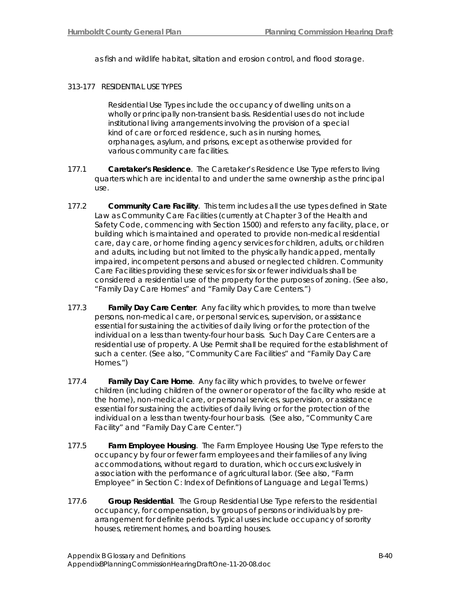as fish and wildlife habitat, siltation and erosion control, and flood storage.

### 313-177 RESIDENTIAL USE TYPES

Residential Use Types include the occupancy of dwelling units on a wholly or principally non-transient basis. Residential uses do not include institutional living arrangements involving the provision of a special kind of care or forced residence, such as in nursing homes, orphanages, asylum, and prisons, except as otherwise provided for various community care facilities.

- 177.1 **Caretaker's Residence**. The Caretaker's Residence Use Type refers to living quarters which are incidental to and under the same ownership as the principal use.
- 177.2 **Community Care Facility**. This term includes all the use types defined in State Law as Community Care Facilities (currently at Chapter 3 of the Health and Safety Code, commencing with Section 1500) and refers to any facility, place, or building which is maintained and operated to provide non-medical residential care, day care, or home finding agency services for children, adults, or children and adults, including but not limited to the physically handicapped, mentally impaired, incompetent persons and abused or neglected children. Community Care Facilities providing these services for six or fewer individuals shall be considered a residential use of the property for the purposes of zoning. (See also, "Family Day Care Homes" and "Family Day Care Centers.")
- 177.3 **Family Day Care Center**. Any facility which provides, to more than twelve persons, non-medical care, or personal services, supervision, or assistance essential for sustaining the activities of daily living or for the protection of the individual on a less than twenty-four hour basis. Such Day Care Centers are a residential use of property. A Use Permit shall be required for the establishment of such a center. (See also, "Community Care Facilities" and "Family Day Care Homes.")
- 177.4 **Family Day Care Home**. Any facility which provides, to twelve or fewer children (including children of the owner or operator of the facility who reside at the home), non-medical care, or personal services, supervision, or assistance essential for sustaining the activities of daily living or for the protection of the individual on a less than twenty-four hour basis. (See also, "Community Care Facility" and "Family Day Care Center.")
- 177.5 **Farm Employee Housing**. The Farm Employee Housing Use Type refers to the occupancy by four or fewer farm employees and their families of any living accommodations, without regard to duration, which occurs exclusively in association with the performance of agricultural labor. (See also, "Farm Employee" in Section C: Index of Definitions of Language and Legal Terms.)
- 177.6 **Group Residential**. The Group Residential Use Type refers to the residential occupancy, for compensation, by groups of persons or individuals by prearrangement for definite periods. Typical uses include occupancy of sorority houses, retirement homes, and boarding houses.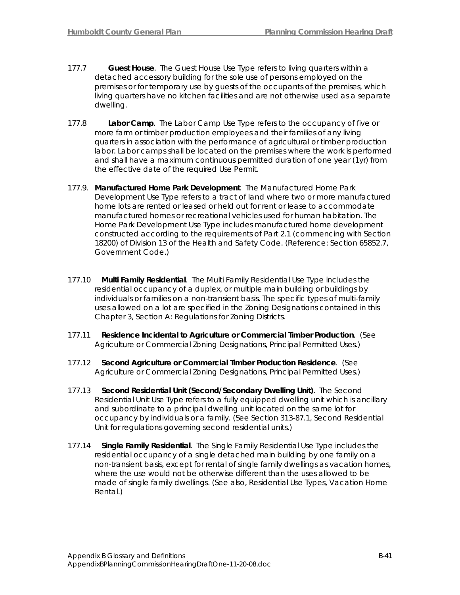- 177.7 **Guest House**. The Guest House Use Type refers to living quarters within a detached accessory building for the sole use of persons employed on the premises or for temporary use by guests of the occupants of the premises, which living quarters have no kitchen facilities and are not otherwise used as a separate dwelling.
- 177.8 **Labor Camp**. The Labor Camp Use Type refers to the occupancy of five or more farm or timber production employees and their families of any living quarters in association with the performance of agricultural or timber production labor. Labor camps shall be located on the premises where the work is performed and shall have a maximum continuous permitted duration of one year (1yr) from the effective date of the required Use Permit.
- 177.9. **Manufactured Home Park Development**. The Manufactured Home Park Development Use Type refers to a tract of land where two or more manufactured home lots are rented or leased or held out for rent or lease to accommodate manufactured homes or recreational vehicles used for human habitation. The Home Park Development Use Type includes manufactured home development constructed according to the requirements of Part 2.1 (commencing with Section 18200) of Division 13 of the Health and Safety Code. (Reference: Section 65852.7, Government Code.)
- 177.10 **Multi Family Residential**. The Multi Family Residential Use Type includes the residential occupancy of a duplex, or multiple main building or buildings by individuals or families on a non-transient basis. The specific types of multi-family uses allowed on a lot are specified in the Zoning Designations contained in this Chapter 3, Section A: Regulations for Zoning Districts.
- 177.11 **Residence Incidental to Agriculture or Commercial Timber Production**. (See Agriculture or Commercial Zoning Designations, Principal Permitted Uses.)
- 177.12 **Second Agriculture or Commercial Timber Production Residence**. (See Agriculture or Commercial Zoning Designations, Principal Permitted Uses.)
- 177.13 **Second Residential Unit (Second/Secondary Dwelling Unit)**. The Second Residential Unit Use Type refers to a fully equipped dwelling unit which is ancillary and subordinate to a principal dwelling unit located on the same lot for occupancy by individuals or a family. (See Section 313-87.1, Second Residential Unit for regulations governing second residential units.)
- 177.14 **Single Family Residential**. The Single Family Residential Use Type includes the residential occupancy of a single detached main building by one family on a non-transient basis, except for rental of single family dwellings as vacation homes, where the use would not be otherwise different than the uses allowed to be made of single family dwellings. (See also, Residential Use Types, Vacation Home Rental.)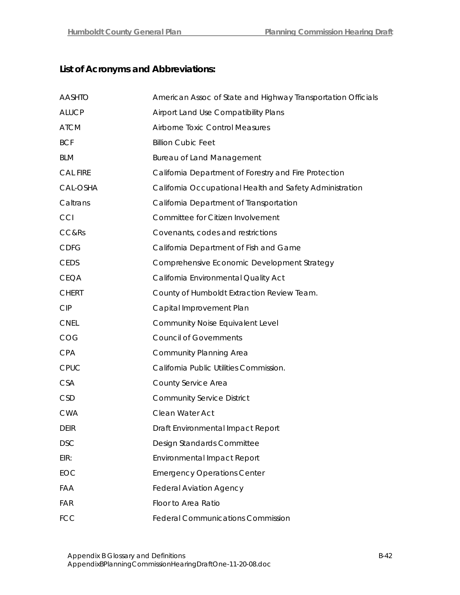| <b>AASHTO</b>   | American Assoc of State and Highway Transportation Officials |
|-----------------|--------------------------------------------------------------|
| <b>ALUCP</b>    | Airport Land Use Compatibility Plans                         |
| <b>ATCM</b>     | <b>Airborne Toxic Control Measures</b>                       |
| <b>BCF</b>      | <b>Billion Cubic Feet</b>                                    |
| <b>BLM</b>      | <b>Bureau of Land Management</b>                             |
| <b>CAL FIRE</b> | California Department of Forestry and Fire Protection        |
| CAL-OSHA        | California Occupational Health and Safety Administration     |
| Caltrans        | California Department of Transportation                      |
| CCI             | Committee for Citizen Involvement                            |
| CC&Rs           | Covenants, codes and restrictions                            |
| <b>CDFG</b>     | California Department of Fish and Game                       |
| <b>CEDS</b>     | Comprehensive Economic Development Strategy                  |
| <b>CEQA</b>     | California Environmental Quality Act                         |
| <b>CHERT</b>    | County of Humboldt Extraction Review Team.                   |
| <b>CIP</b>      | Capital Improvement Plan                                     |
| <b>CNEL</b>     | <b>Community Noise Equivalent Level</b>                      |
| COG             | <b>Council of Governments</b>                                |
| <b>CPA</b>      | Community Planning Area                                      |
| CPUC            | California Public Utilities Commission.                      |
| <b>CSA</b>      | County Service Area                                          |
| <b>CSD</b>      | <b>Community Service District</b>                            |
| <b>CWA</b>      | Clean Water Act                                              |
| <b>DEIR</b>     | Draft Environmental Impact Report                            |
| <b>DSC</b>      | Design Standards Committee                                   |
| EIR:            | <b>Environmental Impact Report</b>                           |
| EOC             | <b>Emergency Operations Center</b>                           |
| <b>FAA</b>      | <b>Federal Aviation Agency</b>                               |
| <b>FAR</b>      | Floor to Area Ratio                                          |
| <b>FCC</b>      | <b>Federal Communications Commission</b>                     |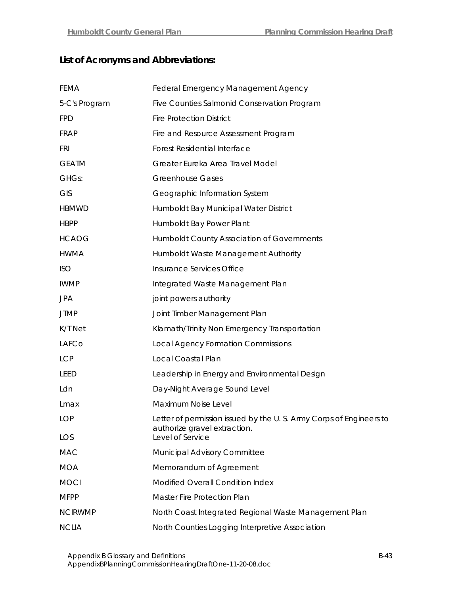| <b>FEMA</b>    | Federal Emergency Management Agency                                                                |
|----------------|----------------------------------------------------------------------------------------------------|
| 5-C's Program  | Five Counties Salmonid Conservation Program                                                        |
| <b>FPD</b>     | <b>Fire Protection District</b>                                                                    |
| <b>FRAP</b>    | Fire and Resource Assessment Program                                                               |
| FRI            | <b>Forest Residential Interface</b>                                                                |
| <b>GEATM</b>   | Greater Eureka Area Travel Model                                                                   |
| GHGs:          | <b>Greenhouse Gases</b>                                                                            |
| <b>GIS</b>     | Geographic Information System                                                                      |
| <b>HBMWD</b>   | Humboldt Bay Municipal Water District                                                              |
| <b>HBPP</b>    | Humboldt Bay Power Plant                                                                           |
| <b>HCAOG</b>   | Humboldt County Association of Governments                                                         |
| <b>HWMA</b>    | Humboldt Waste Management Authority                                                                |
| <b>ISO</b>     | Insurance Services Office                                                                          |
| <b>IWMP</b>    | Integrated Waste Management Plan                                                                   |
| <b>JPA</b>     | joint powers authority                                                                             |
| <b>JTMP</b>    | Joint Timber Management Plan                                                                       |
| K/T Net        | Klamath/Trinity Non Emergency Transportation                                                       |
| LAFCo          | Local Agency Formation Commissions                                                                 |
| <b>LCP</b>     | Local Coastal Plan                                                                                 |
| <b>LEED</b>    | Leadership in Energy and Environmental Design                                                      |
| Ldn            | Day-Night Average Sound Level                                                                      |
| Lmax           | Maximum Noise Level                                                                                |
| <b>LOP</b>     | Letter of permission issued by the U.S. Army Corps of Engineers to<br>authorize gravel extraction. |
| LOS            | Level of Service                                                                                   |
| <b>MAC</b>     | Municipal Advisory Committee                                                                       |
| <b>MOA</b>     | Memorandum of Agreement                                                                            |
| <b>MOCI</b>    | Modified Overall Condition Index                                                                   |
| <b>MFPP</b>    | Master Fire Protection Plan                                                                        |
| <b>NCIRWMP</b> | North Coast Integrated Regional Waste Management Plan                                              |
| <b>NCLIA</b>   | North Counties Logging Interpretive Association                                                    |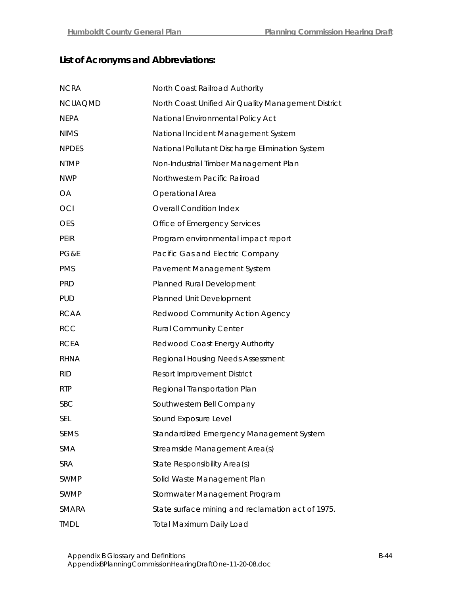| <b>NCRA</b>    | North Coast Railroad Authority                      |
|----------------|-----------------------------------------------------|
| <b>NCUAQMD</b> | North Coast Unified Air Quality Management District |
| <b>NEPA</b>    | National Environmental Policy Act                   |
| <b>NIMS</b>    | National Incident Management System                 |
| <b>NPDES</b>   | National Pollutant Discharge Elimination System     |
| <b>NTMP</b>    | Non-Industrial Timber Management Plan               |
| <b>NWP</b>     | Northwestern Pacific Railroad                       |
| OA             | Operational Area                                    |
| OCI            | <b>Overall Condition Index</b>                      |
| <b>OES</b>     | Office of Emergency Services                        |
| <b>PEIR</b>    | Program environmental impact report                 |
| PG&E           | Pacific Gas and Electric Company                    |
| <b>PMS</b>     | Pavement Management System                          |
| <b>PRD</b>     | Planned Rural Development                           |
| <b>PUD</b>     | Planned Unit Development                            |
| <b>RCAA</b>    | Redwood Community Action Agency                     |
| <b>RCC</b>     | <b>Rural Community Center</b>                       |
| <b>RCEA</b>    | Redwood Coast Energy Authority                      |
| <b>RHNA</b>    | <b>Regional Housing Needs Assessment</b>            |
| <b>RID</b>     | <b>Resort Improvement District</b>                  |
| <b>RTP</b>     | Regional Transportation Plan                        |
| <b>SBC</b>     | Southwestern Bell Company                           |
| SEL            | Sound Exposure Level                                |
| <b>SEMS</b>    | Standardized Emergency Management System            |
| <b>SMA</b>     | Streamside Management Area(s)                       |
| SRA            | State Responsibility Area(s)                        |
| <b>SWMP</b>    | Solid Waste Management Plan                         |
| <b>SWMP</b>    | Stormwater Management Program                       |
| SMARA          | State surface mining and reclamation act of 1975.   |
| <b>TMDL</b>    | <b>Total Maximum Daily Load</b>                     |